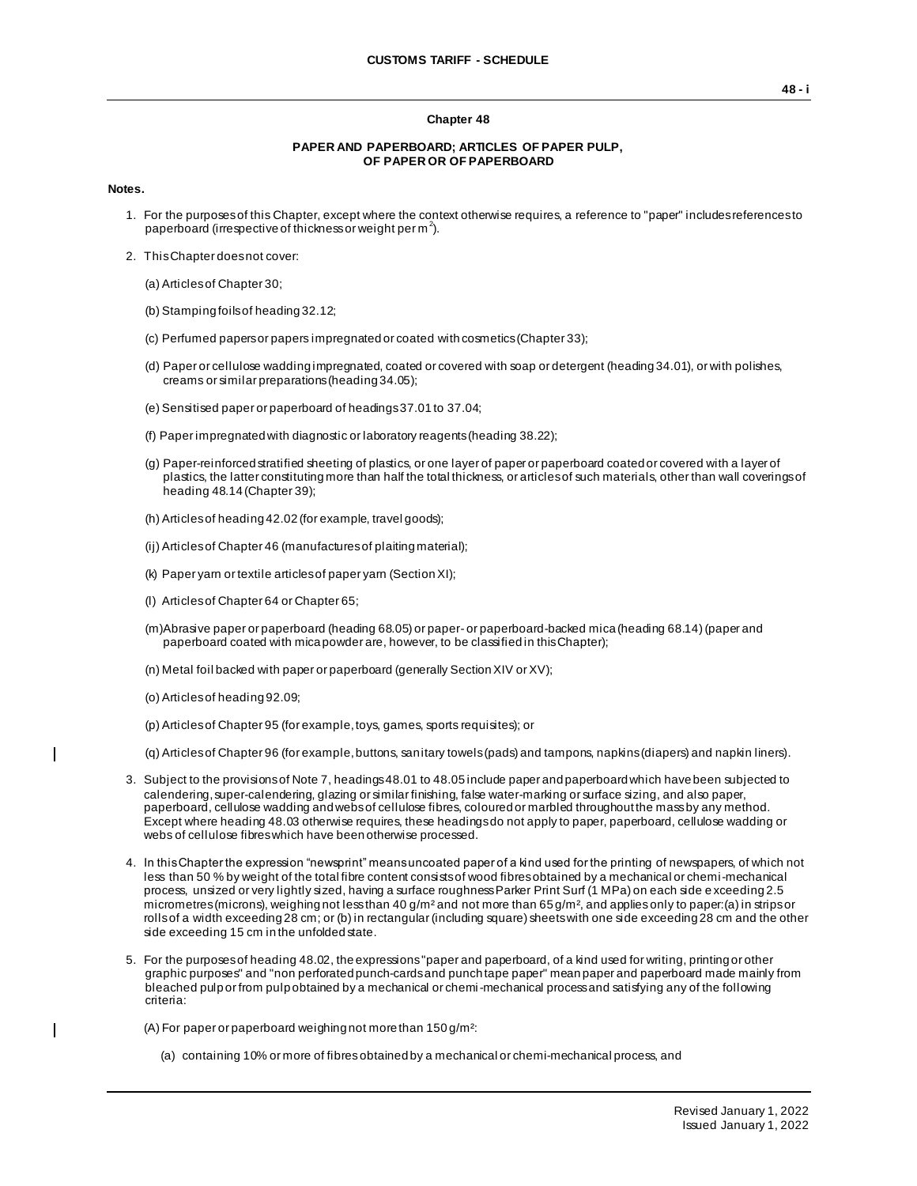#### **Chapter 48**

### **PAPER AND PAPERBOARD; ARTICLES OF PAPER PULP, OF PAPER OR OF PAPERBOARD**

#### **Notes.**

- 1. For the purposes of this Chapter, except where the context otherwise requires, a reference to "paper" includes references to paperboard (irrespective of thickness or weight per m<sup>2</sup>).
- 2. This Chapter does not cover:
	- (a) Articles of Chapter 30;
	- (b) Stamping foils of heading 32.12;
	- (c) Perfumed papers or papers impregnated or coated with cosmetics (Chapter 33);
	- (d) Paper or cellulose wadding impregnated, coated or covered with soap or detergent (heading 34.01), or with polishes, creams or similar preparations (heading 34.05);
	- (e) Sensitised paper or paperboard of headings 37.01 to 37.04;
	- (f) Paper impregnated with diagnostic or laboratory reagents (heading 38.22);
	- (g) Paper-reinforced stratified sheeting of plastics, or one layer of paper or paperboard coated or covered with a layer of plastics, the latter constituting more than half the total thickness, or articles of such materials, other than wall coverings of heading 48.14 (Chapter 39);
	- (h) Articles of heading 42.02 (for example, travel goods);
	- (ij) Articles of Chapter 46 (manufactures of plaiting material);
	- (k) Paper yarn or textile articles of paper yarn (Section XI);
	- (l) Articles of Chapter 64 or Chapter 65;
	- (m)Abrasive paper or paperboard (heading 68.05) or paper- or paperboard-backed mica (heading 68.14) (paper and paperboard coated with mica powder are, however, to be classified in this Chapter);
	- (n) Metal foil backed with paper or paperboard (generally Section XIV or XV);
	- (o) Articles of heading 92.09;

 $\overline{\phantom{a}}$ 

 $\mathbf{I}$ 

- (p) Articles of Chapter 95 (for example, toys, games, sports requisites); or
- (q) Articles of Chapter 96 (for example, buttons, sanitary towels (pads) and tampons, napkins (diapers) and napkin liners).
- 3. Subject to the provisions of Note 7, headings 48.01 to 48.05 include paper and paperboard which have been subjected to calendering, super-calendering, glazing or similar finishing, false water-marking or surface sizing, and also paper, paperboard, cellulose wadding and webs of cellulose fibres, coloured or marbled throughout the mass by any method. Except where heading 48.03 otherwise requires, these headings do not apply to paper, paperboard, cellulose wadding or webs of cellulose fibres which have been otherwise processed.
- 4. In this Chapter the expression "newsprint" means uncoated paper of a kind used for the printing of newspapers, of which not less than 50 % by weight of the total fibre content consists of wood fibres obtained by a mechanical or chemi-mechanical process, unsized or very lightly sized, having a surface roughness Parker Print Surf (1 MPa) on each side e xceeding 2.5 micrometres (microns), weighing not less than 40 g/m<sup>2</sup> and not more than 65 g/m<sup>2</sup>, and applies only to paper: (a) in strips or rollsof a width exceeding 28 cm; or (b) in rectangular (including square) sheets with one side exceeding 28 cm and the other side exceeding 15 cm in the unfolded state.
- 5. For the purposes of heading 48.02, the expressions "paper and paperboard, of a kind used for writing, printing or other graphic purposes" and "non perforated punch-cards and punch tape paper" mean paper and paperboard made mainly from bleached pulp or from pulp obtained by a mechanical or chemi-mechanical process and satisfying any of the following criteria:

(A) For paper or paperboard weighing not more than 150 g/m²:

(a) containing 10% or more of fibres obtained by a mechanical or chemi-mechanical process, and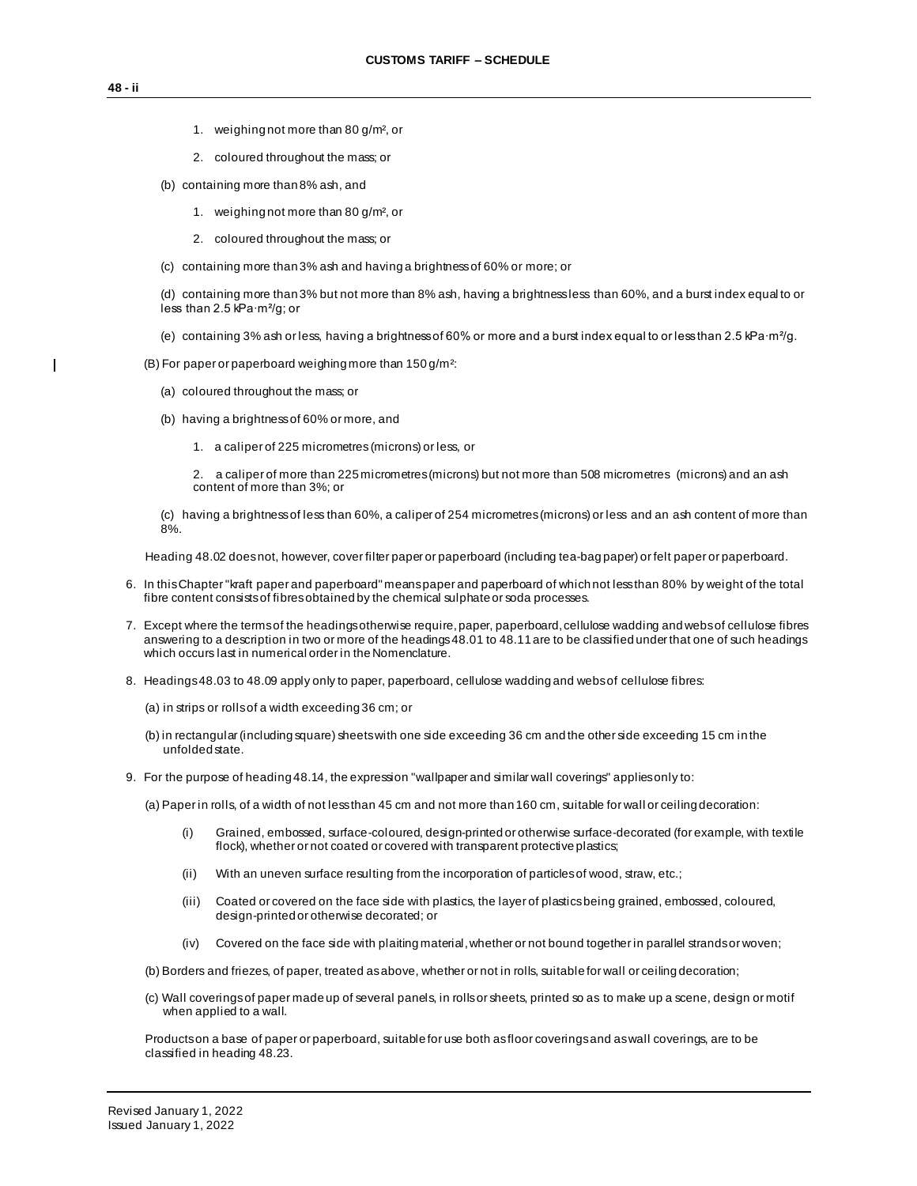$\mathbf{I}$ 

- 1. weighing not more than 80 g/m², or
- 2. coloured throughout the mass; or
- (b) containing more than 8% ash, and
	- 1. weighing not more than 80 g/m², or
	- 2. coloured throughout the mass; or
- (c) containing more than 3% ash and having a brightness of 60% or more; or

(d) containing more than 3% but not more than 8% ash, having a brightness less than 60%, and a burst index equal to or less than 2.5 kPa∙m²/g; or

- (e) containing 3% ash or less, having a brightness of 60% or more and a burst index equal to or less than 2.5 kPa∙m²/g.
- (B) For paper or paperboard weighing more than 150 g/m²:
	- (a) coloured throughout the mass; or
	- (b) having a brightness of 60% or more, and
		- 1. a caliper of 225 micrometres (microns) or less, or

2. a caliper of more than 225 micrometres (microns) but not more than 508 micrometres (microns) and an ash content of more than 3%; or

(c) having a brightness of less than 60%, a caliper of 254 micrometres (microns) or less and an ash content of more than 8%.

Heading 48.02 does not, however, cover filter paper or paperboard (including tea-bag paper) or felt paper or paperboard.

- 6. In this Chapter "kraft paper and paperboard" means paper and paperboard of which not less than 80% by weight of the total fibre content consists of fibres obtained by the chemical sulphate or soda processes.
- 7. Except where the terms of the headings otherwise require, paper, paperboard, cellulose wadding and webs of cellulose fibres answering to a description in two or more of the headings 48.01 to 48.11 are to be classified under that one of such headings which occurs last in numerical order in the Nomenclature.
- 8. Headings 48.03 to 48.09 apply only to paper, paperboard, cellulose wadding and webs of cellulose fibres:
	- (a) in strips or rolls of a width exceeding 36 cm; or
	- (b) in rectangular (including square) sheets with one side exceeding 36 cm and the other side exceeding 15 cm in the unfolded state.
- 9. For the purpose of heading 48.14, the expression "wallpaper and similar wall coverings" applies only to:

(a) Paper in rolls, of a width of not less than 45 cm and not more than 160 cm, suitable for wall or ceiling decoration:

- (i) Grained, embossed, surface-coloured, design-printed or otherwise surface-decorated (for example, with textile flock), whether or not coated or covered with transparent protective plastics;
- (ii) With an uneven surface resulting from the incorporation of particles of wood, straw, etc.;
- (iii) Coated or covered on the face side with plastics, the layer of plastics being grained, embossed, coloured, design-printed or otherwise decorated; or
- (iv) Covered on the face side with plaiting material, whether or not bound together in parallel strands or woven;

(b) Borders and friezes, of paper, treated as above, whether or not in rolls, suitable for wall or ceiling decoration;

(c) Wall coverings of paper made up of several panels, in rolls or sheets, printed so as to make up a scene, design or motif when applied to a wall.

Products on a base of paper or paperboard, suitable for use both as floor coverings and as wall coverings, are to be classified in heading 48.23.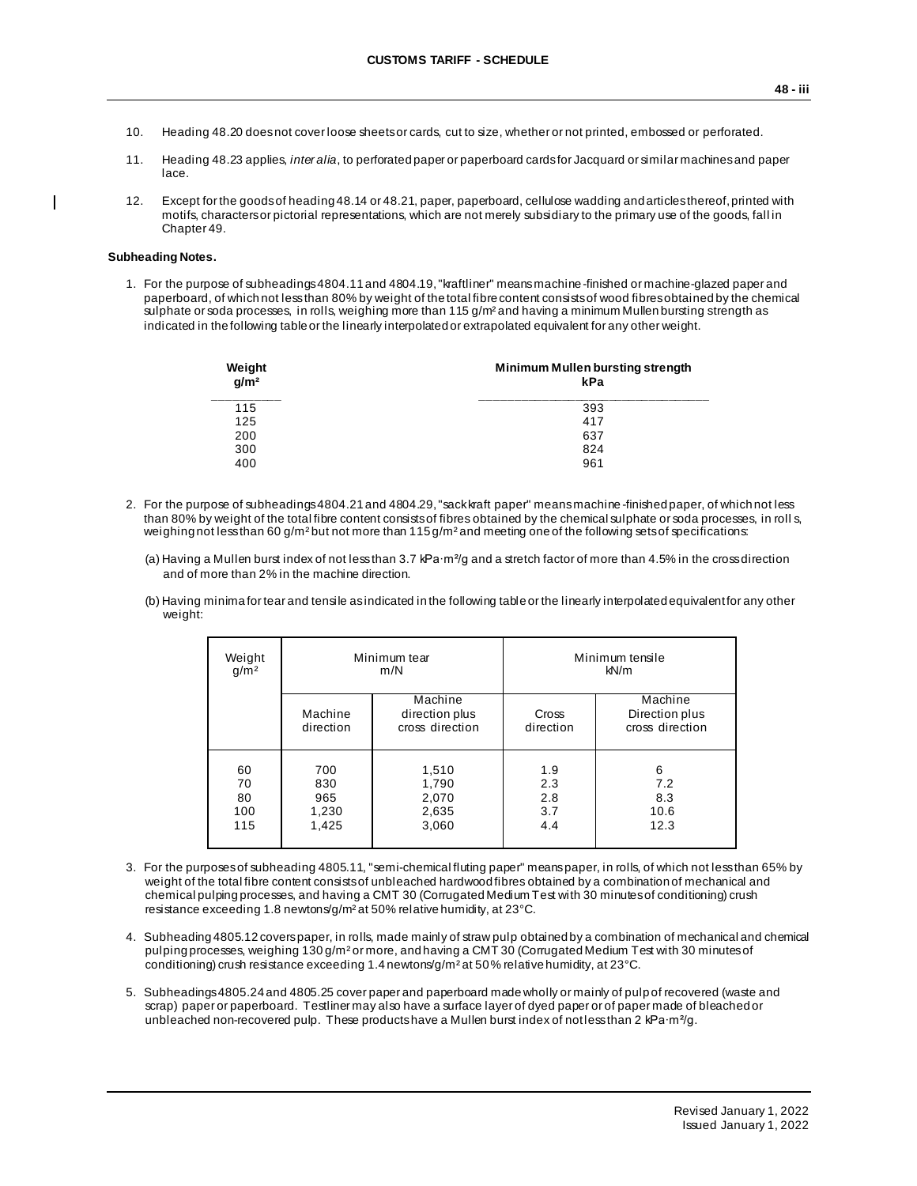- 10. Heading 48.20 does not cover loose sheets or cards, cut to size, whether or not printed, embossed or perforated.
- 11. Heading 48.23 applies, *inter alia*, to perforated paper or paperboard cards for Jacquard or similar machines and paper lace.
- 12. Except for the goods of heading 48.14 or 48.21, paper, paperboard, cellulose wadding and articles thereof, printed with motifs, characters or pictorial representations, which are not merely subsidiary to the primary use of the goods, fall in Chapter 49.

### **Subheading Notes.**

1. For the purpose of subheadings 4804.11 and 4804.19, "kraftliner" means machine-finished or machine-glazed paper and paperboard, of which not less than 80% by weight of the total fibre content consists of wood fibres obtained by the chemical sulphate or soda processes, in rolls, weighing more than 115 g/m² and having a minimum Mullen bursting strength as indicated in the following table or the linearly interpolated or extrapolated equivalent for any other weight.

| Weight<br>g/m <sup>2</sup> | Minimum Mullen bursting strength<br>kPa |
|----------------------------|-----------------------------------------|
| 115                        | 393                                     |
| 125                        | 417                                     |
| 200                        | 637                                     |
| 300                        | 824                                     |
| 400                        | 961                                     |

- 2. For the purpose of subheadings 4804.21 and 4804.29, "sack kraft paper" means machine -finished paper, of which not less than 80% by weight of the total fibre content consists of fibres obtained by the chemical sulphate or soda processes, in roll s, weighing not less than 60 g/m<sup>2</sup> but not more than 115 g/m<sup>2</sup> and meeting one of the following sets of specifications:
	- (a) Having a Mullen burst index of not less than 3.7 kPa∙m²/g and a stretch factor of more than 4.5% in the cross direction and of more than 2% in the machine direction.
	- (b) Having minima for tear and tensile as indicated in the following table or the linearly interpolated equivalent for any other weight:

| Weight<br>g/m <sup>2</sup>   |                                     | Minimum tear<br>m/N                          |                                 | Minimum tensile<br>kN/m                      |
|------------------------------|-------------------------------------|----------------------------------------------|---------------------------------|----------------------------------------------|
|                              | Machine<br>direction                | Machine<br>direction plus<br>cross direction | Cross<br>direction              | Machine<br>Direction plus<br>cross direction |
| 60<br>70<br>80<br>100<br>115 | 700<br>830<br>965<br>1,230<br>1,425 | 1,510<br>1,790<br>2,070<br>2,635<br>3,060    | 1.9<br>2.3<br>2.8<br>3.7<br>4.4 | 6<br>7.2<br>8.3<br>10.6<br>12.3              |

- 3. For the purposes of subheading 4805.11, "semi-chemical fluting paper" means paper, in rolls, of which not less than 65% by weight of the total fibre content consists of unbleached hardwood fibres obtained by a combination of mechanical and chemical pulping processes, and having a CMT 30 (Corrugated Medium Test with 30 minutes of conditioning) crush resistance exceeding 1.8 newtons/g/m² at 50% relative humidity, at 23°C.
- 4. Subheading 4805.12 covers paper, in rolls, made mainly of straw pulp obtained by a combination of mechanical and chemical pulping processes, weighing 130 g/m² or more, and having a CMT 30 (Corrugated Medium Test with 30 minutes of conditioning) crush resistance exceeding 1.4 newtons/g/m<sup>2</sup> at 50% relative humidity, at 23°C.
- 5. Subheadings 4805.24 and 4805.25 cover paper and paperboard made wholly or mainly of pulp of recovered (waste and scrap) paper or paperboard. Testliner may also have a surface layer of dyed paper or of paper made of bleached or unbleached non-recovered pulp. These products have a Mullen burst index of not less than 2 kPa∙m<sup>2</sup>/g.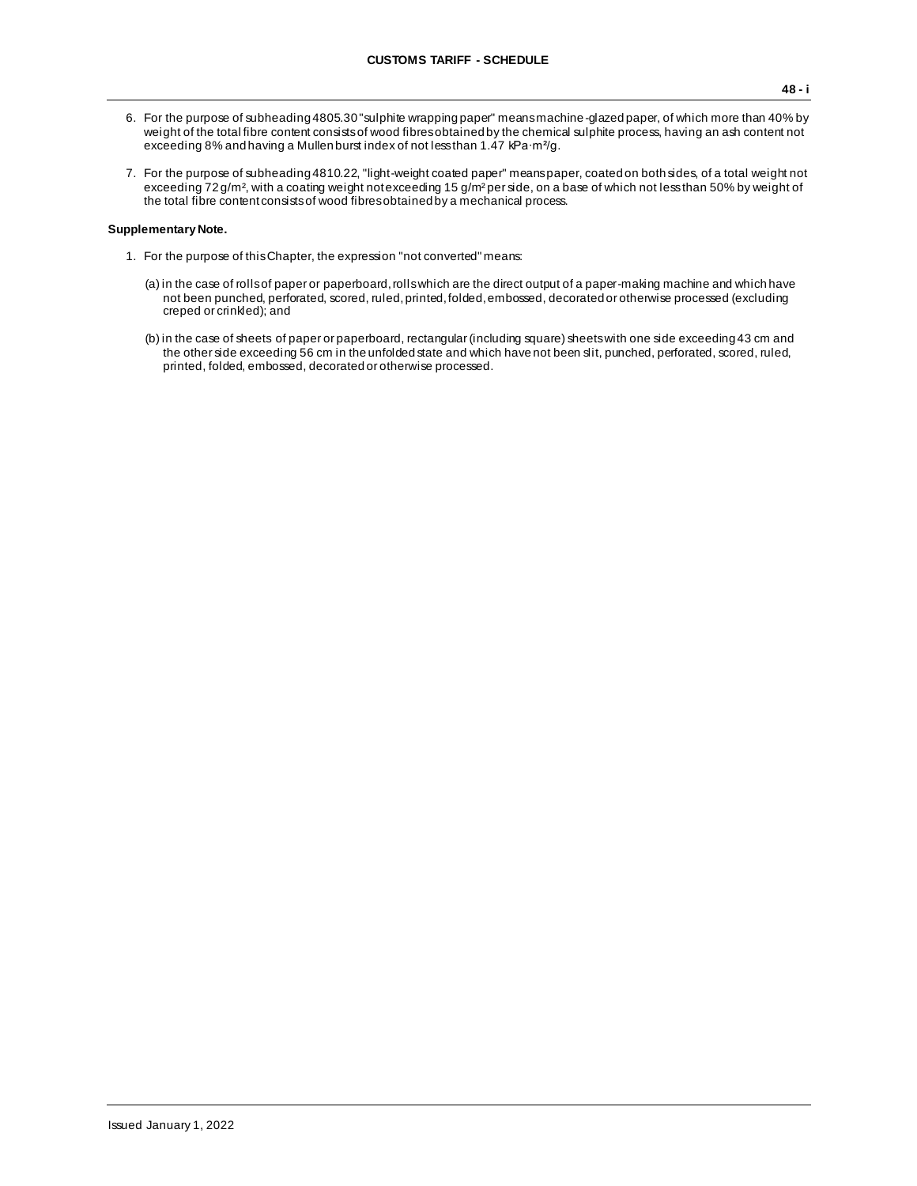- 6. For the purpose of subheading 4805.30 "sulphite wrapping paper" means machine-glazed paper, of which more than 40% by weight of the total fibre content consists of wood fibres obtained by the chemical sulphite process, having an ash content not exceeding 8% and having a Mullen burst index of not less than 1.47 kPa∙m²/g.
- 7. For the purpose of subheading 4810.22, "light-weight coated paper" means paper, coated on both sides, of a total weight not exceeding 72 g/m<sup>2</sup>, with a coating weight not exceeding 15 g/m<sup>2</sup> per side, on a base of which not less than 50% by weight of the total fibre content consists of wood fibres obtained by a mechanical process.

### **Supplementary Note.**

- 1. For the purpose of this Chapter, the expression "not converted" means:
	- (a) in the case of rolls of paper or paperboard, rolls which are the direct output of a paper-making machine and which have not been punched, perforated, scored, ruled, printed, folded, embossed, decorated or otherwise processed (excluding creped or crinkled); and
	- (b) in the case of sheets of paper or paperboard, rectangular (including square) sheets with one side exceeding 43 cm and the other side exceeding 56 cm in the unfolded state and which have not been slit, punched, perforated, scored, ruled, printed, folded, embossed, decorated or otherwise processed.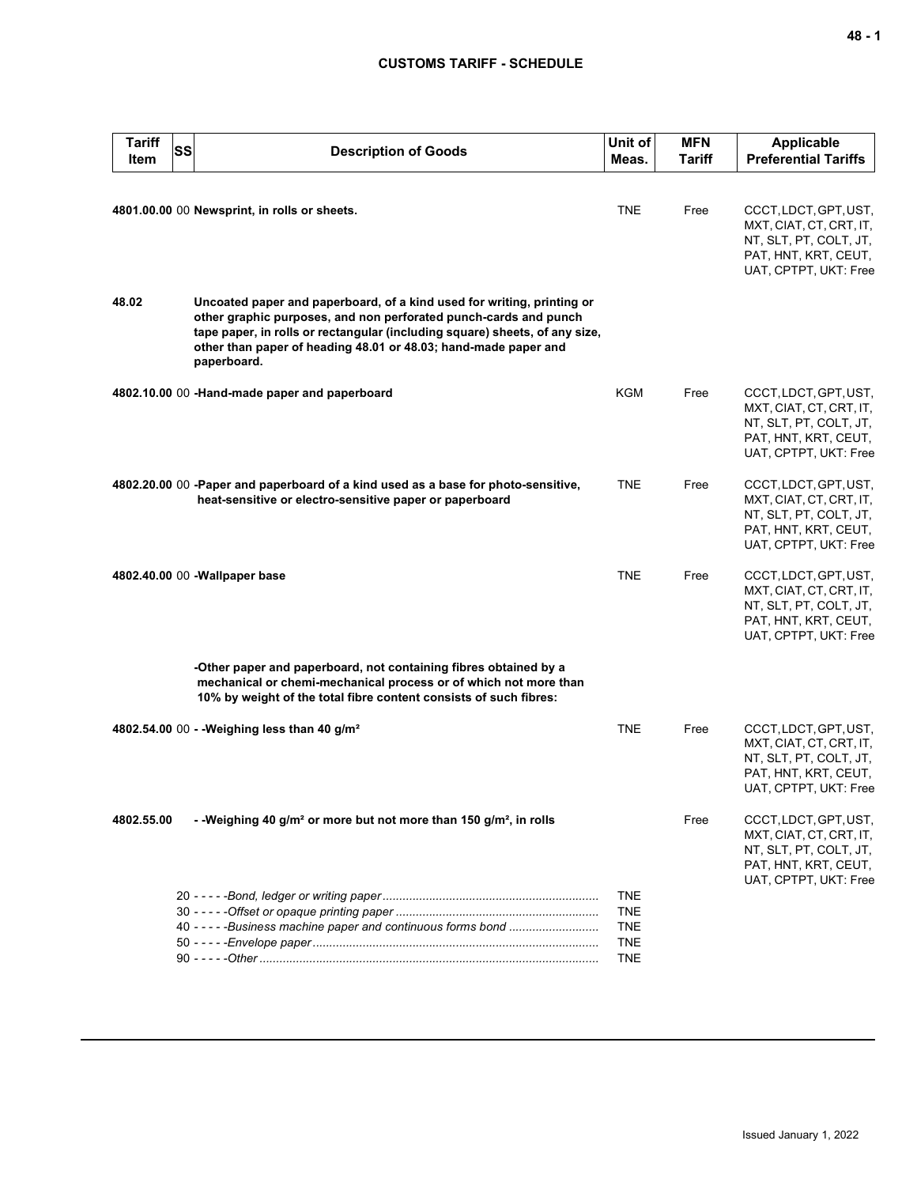| <b>Tariff</b><br>Item | SS | <b>Description of Goods</b>                                                                                                                                                                                                                                                                                 | Unit of<br>Meas.         | <b>MFN</b><br>Tariff | <b>Applicable</b><br><b>Preferential Tariffs</b>                                                                            |
|-----------------------|----|-------------------------------------------------------------------------------------------------------------------------------------------------------------------------------------------------------------------------------------------------------------------------------------------------------------|--------------------------|----------------------|-----------------------------------------------------------------------------------------------------------------------------|
|                       |    | 4801.00.00 00 Newsprint, in rolls or sheets.                                                                                                                                                                                                                                                                | <b>TNE</b>               | Free                 | CCCT, LDCT, GPT, UST,                                                                                                       |
|                       |    |                                                                                                                                                                                                                                                                                                             |                          |                      | MXT, CIAT, CT, CRT, IT,<br>NT, SLT, PT, COLT, JT,<br>PAT, HNT, KRT, CEUT,<br>UAT, CPTPT, UKT: Free                          |
| 48.02                 |    | Uncoated paper and paperboard, of a kind used for writing, printing or<br>other graphic purposes, and non perforated punch-cards and punch<br>tape paper, in rolls or rectangular (including square) sheets, of any size,<br>other than paper of heading 48.01 or 48.03; hand-made paper and<br>paperboard. |                          |                      |                                                                                                                             |
|                       |    | 4802.10.00 00 -Hand-made paper and paperboard                                                                                                                                                                                                                                                               | KGM                      | Free                 | CCCT, LDCT, GPT, UST,<br>MXT, CIAT, CT, CRT, IT,<br>NT, SLT, PT, COLT, JT,<br>PAT, HNT, KRT, CEUT,<br>UAT, CPTPT, UKT: Free |
|                       |    | 4802.20.00 00 -Paper and paperboard of a kind used as a base for photo-sensitive,<br>heat-sensitive or electro-sensitive paper or paperboard                                                                                                                                                                | <b>TNE</b>               | Free                 | CCCT, LDCT, GPT, UST,<br>MXT, CIAT, CT, CRT, IT,<br>NT, SLT, PT, COLT, JT,<br>PAT, HNT, KRT, CEUT,<br>UAT, CPTPT, UKT: Free |
|                       |    | 4802.40.00 00 - Wallpaper base                                                                                                                                                                                                                                                                              | <b>TNE</b>               | Free                 | CCCT, LDCT, GPT, UST,<br>MXT, CIAT, CT, CRT, IT,<br>NT, SLT, PT, COLT, JT,<br>PAT, HNT, KRT, CEUT,<br>UAT, CPTPT, UKT: Free |
|                       |    | -Other paper and paperboard, not containing fibres obtained by a<br>mechanical or chemi-mechanical process or of which not more than<br>10% by weight of the total fibre content consists of such fibres:                                                                                                   |                          |                      |                                                                                                                             |
|                       |    | 4802.54.00 00 - - Weighing less than 40 g/m <sup>2</sup>                                                                                                                                                                                                                                                    | <b>TNE</b>               | Free                 | CCCT, LDCT, GPT, UST,<br>MXT, CIAT, CT, CRT, IT,<br>NT, SLT, PT, COLT, JT,<br>PAT, HNT, KRT, CEUT,<br>UAT, CPTPT, UKT: Free |
| 4802.55.00            |    | - -Weighing 40 g/m <sup>2</sup> or more but not more than 150 g/m <sup>2</sup> , in rolls                                                                                                                                                                                                                   |                          | Free                 | CCCT, LDCT, GPT, UST,<br>MXT, CIAT, CT, CRT, IT,<br>NT, SLT, PT, COLT, JT,<br>PAT, HNT, KRT, CEUT,<br>UAT, CPTPT, UKT: Free |
|                       |    |                                                                                                                                                                                                                                                                                                             | <b>TNE</b>               |                      |                                                                                                                             |
|                       |    | 40 - - - - - Business machine paper and continuous forms bond                                                                                                                                                                                                                                               | <b>TNE</b><br><b>TNE</b> |                      |                                                                                                                             |
|                       |    |                                                                                                                                                                                                                                                                                                             | <b>TNE</b>               |                      |                                                                                                                             |
|                       |    |                                                                                                                                                                                                                                                                                                             | <b>TNE</b>               |                      |                                                                                                                             |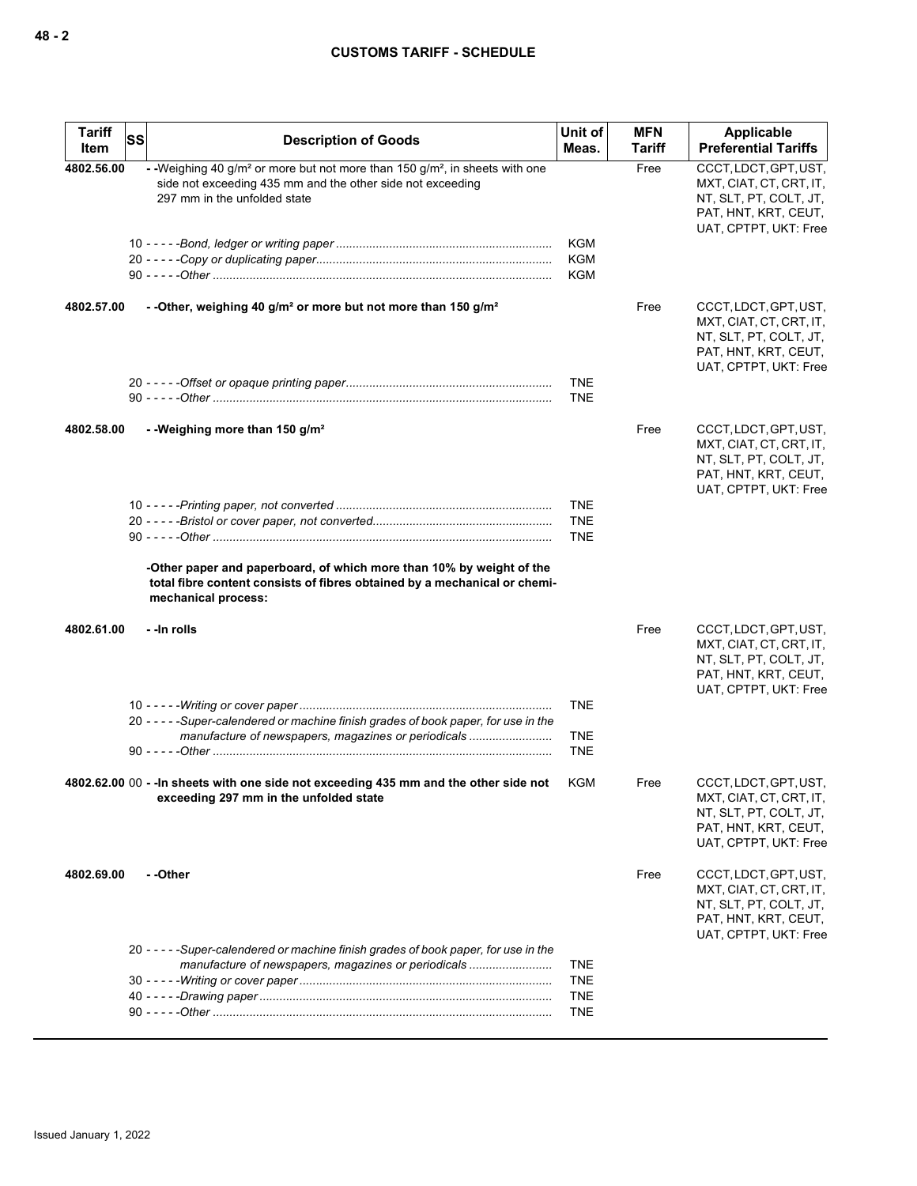| <b>Tariff</b><br><b>SS</b><br>Item | <b>Description of Goods</b>                                                                                                                                                                       | Unit of<br>Meas.                       | <b>MFN</b><br>Tariff | Applicable<br><b>Preferential Tariffs</b>                                                                                   |
|------------------------------------|---------------------------------------------------------------------------------------------------------------------------------------------------------------------------------------------------|----------------------------------------|----------------------|-----------------------------------------------------------------------------------------------------------------------------|
| 4802.56.00                         | - -Weighing 40 g/m <sup>2</sup> or more but not more than 150 g/m <sup>2</sup> , in sheets with one<br>side not exceeding 435 mm and the other side not exceeding<br>297 mm in the unfolded state |                                        | Free                 | CCCT, LDCT, GPT, UST,<br>MXT, CIAT, CT, CRT, IT,<br>NT, SLT, PT, COLT, JT,<br>PAT, HNT, KRT, CEUT,<br>UAT, CPTPT, UKT: Free |
|                                    |                                                                                                                                                                                                   | <b>KGM</b><br><b>KGM</b><br><b>KGM</b> |                      |                                                                                                                             |
| 4802.57.00                         | - - Other, weighing 40 g/m <sup>2</sup> or more but not more than 150 g/m <sup>2</sup>                                                                                                            |                                        | Free                 | CCCT, LDCT, GPT, UST,<br>MXT, CIAT, CT, CRT, IT,<br>NT, SLT, PT, COLT, JT,<br>PAT, HNT, KRT, CEUT,<br>UAT, CPTPT, UKT: Free |
|                                    |                                                                                                                                                                                                   | <b>TNE</b><br><b>TNE</b>               |                      |                                                                                                                             |
| 4802.58.00                         | - - Weighing more than 150 g/m <sup>2</sup>                                                                                                                                                       |                                        | Free                 | CCCT, LDCT, GPT, UST,<br>MXT, CIAT, CT, CRT, IT,<br>NT, SLT, PT, COLT, JT,<br>PAT, HNT, KRT, CEUT,<br>UAT, CPTPT, UKT: Free |
|                                    |                                                                                                                                                                                                   | <b>TNE</b><br><b>TNE</b><br><b>TNE</b> |                      |                                                                                                                             |
|                                    | -Other paper and paperboard, of which more than 10% by weight of the<br>total fibre content consists of fibres obtained by a mechanical or chemi-<br>mechanical process:                          |                                        |                      |                                                                                                                             |
| 4802.61.00                         | - -in rolls                                                                                                                                                                                       |                                        | Free                 | CCCT, LDCT, GPT, UST,<br>MXT, CIAT, CT, CRT, IT,<br>NT, SLT, PT, COLT, JT,<br>PAT, HNT, KRT, CEUT,<br>UAT, CPTPT, UKT: Free |
|                                    | 20 - - - - - Super-calendered or machine finish grades of book paper, for use in the                                                                                                              | <b>TNE</b>                             |                      |                                                                                                                             |
|                                    | manufacture of newspapers, magazines or periodicals                                                                                                                                               | <b>TNE</b><br><b>TNE</b>               |                      |                                                                                                                             |
|                                    | 4802.62.00 00 - - In sheets with one side not exceeding 435 mm and the other side not<br>exceeding 297 mm in the unfolded state                                                                   | KGM                                    | Free                 | CCCT, LDCT, GPT, UST,<br>MXT, CIAT, CT, CRT, IT,<br>NT, SLT, PT, COLT, JT,<br>PAT, HNT, KRT, CEUT,<br>UAT, CPTPT, UKT: Free |
| 4802.69.00                         | - -Other                                                                                                                                                                                          |                                        | Free                 | CCCT, LDCT, GPT, UST,<br>MXT, CIAT, CT, CRT, IT,<br>NT, SLT, PT, COLT, JT,<br>PAT, HNT, KRT, CEUT,<br>UAT, CPTPT, UKT: Free |
|                                    | 20 - - - - - Super-calendered or machine finish grades of book paper, for use in the<br>manufacture of newspapers, magazines or periodicals                                                       | <b>TNE</b><br><b>TNE</b>               |                      |                                                                                                                             |
|                                    |                                                                                                                                                                                                   | <b>TNE</b><br><b>TNE</b>               |                      |                                                                                                                             |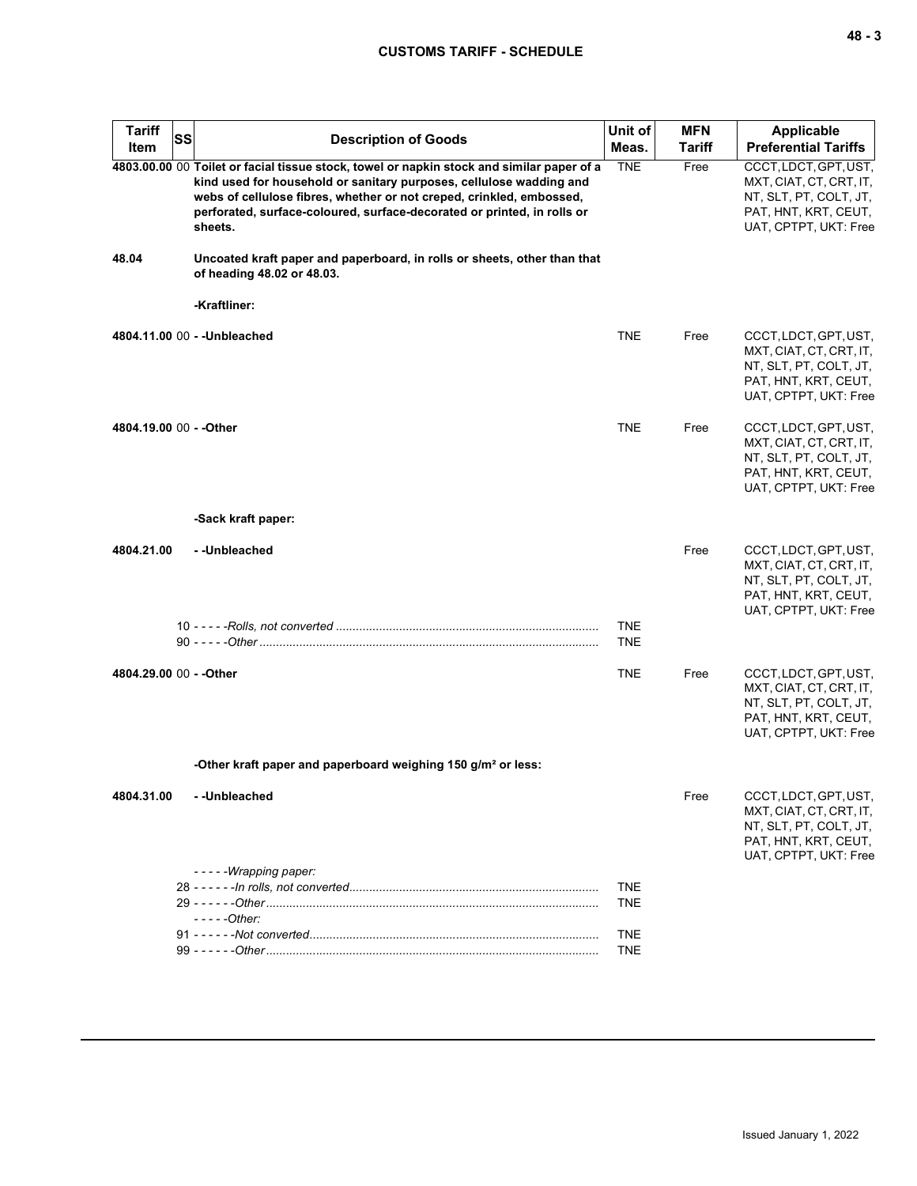| <b>Tariff</b><br>SS<br>Item | <b>Description of Goods</b>                                                                                                                                                                                                                                                                                                    | Unit of<br>Meas.         | <b>MFN</b><br><b>Tariff</b> | <b>Applicable</b><br><b>Preferential Tariffs</b>                                                                            |
|-----------------------------|--------------------------------------------------------------------------------------------------------------------------------------------------------------------------------------------------------------------------------------------------------------------------------------------------------------------------------|--------------------------|-----------------------------|-----------------------------------------------------------------------------------------------------------------------------|
|                             | 4803.00.00 00 Toilet or facial tissue stock, towel or napkin stock and similar paper of a<br>kind used for household or sanitary purposes, cellulose wadding and<br>webs of cellulose fibres, whether or not creped, crinkled, embossed,<br>perforated, surface-coloured, surface-decorated or printed, in rolls or<br>sheets. | <b>TNE</b>               | Free                        | CCCT, LDCT, GPT, UST,<br>MXT, CIAT, CT, CRT, IT,<br>NT, SLT, PT, COLT, JT,<br>PAT, HNT, KRT, CEUT,<br>UAT, CPTPT, UKT: Free |
| 48.04                       | Uncoated kraft paper and paperboard, in rolls or sheets, other than that<br>of heading 48.02 or 48.03.                                                                                                                                                                                                                         |                          |                             |                                                                                                                             |
|                             | -Kraftliner:                                                                                                                                                                                                                                                                                                                   |                          |                             |                                                                                                                             |
|                             | 4804.11.00 00 - - Unbleached                                                                                                                                                                                                                                                                                                   | <b>TNE</b>               | Free                        | CCCT, LDCT, GPT, UST,<br>MXT, CIAT, CT, CRT, IT,<br>NT, SLT, PT, COLT, JT,<br>PAT, HNT, KRT, CEUT,<br>UAT, CPTPT, UKT: Free |
| 4804.19.00 00 - - Other     |                                                                                                                                                                                                                                                                                                                                | <b>TNE</b>               | Free                        | CCCT, LDCT, GPT, UST,<br>MXT, CIAT, CT, CRT, IT,<br>NT, SLT, PT, COLT, JT,<br>PAT, HNT, KRT, CEUT,<br>UAT, CPTPT, UKT: Free |
|                             | -Sack kraft paper:                                                                                                                                                                                                                                                                                                             |                          |                             |                                                                                                                             |
| 4804.21.00                  | --Unbleached                                                                                                                                                                                                                                                                                                                   | <b>TNE</b><br><b>TNE</b> | Free                        | CCCT, LDCT, GPT, UST,<br>MXT, CIAT, CT, CRT, IT,<br>NT, SLT, PT, COLT, JT,<br>PAT, HNT, KRT, CEUT,<br>UAT, CPTPT, UKT: Free |
| 4804.29.00 00 - - Other     |                                                                                                                                                                                                                                                                                                                                | <b>TNE</b>               | Free                        | CCCT, LDCT, GPT, UST,<br>MXT, CIAT, CT, CRT, IT,<br>NT, SLT, PT, COLT, JT,<br>PAT, HNT, KRT, CEUT,<br>UAT, CPTPT, UKT: Free |
|                             | -Other kraft paper and paperboard weighing 150 g/m <sup>2</sup> or less:                                                                                                                                                                                                                                                       |                          |                             |                                                                                                                             |
| 4804.31.00                  | - -Unbleached                                                                                                                                                                                                                                                                                                                  |                          | Free                        | CCCT, LDCT, GPT, UST,<br>MXT, CIAT, CT, CRT, IT,<br>NT, SLT, PT, COLT, JT,<br>PAT, HNT, KRT, CEUT,<br>UAT, CPTPT, UKT: Free |
|                             | -----Wrapping paper:                                                                                                                                                                                                                                                                                                           | <b>TNE</b><br><b>TNE</b> |                             |                                                                                                                             |
|                             | - - - - - Other:                                                                                                                                                                                                                                                                                                               | <b>TNE</b><br><b>TNE</b> |                             |                                                                                                                             |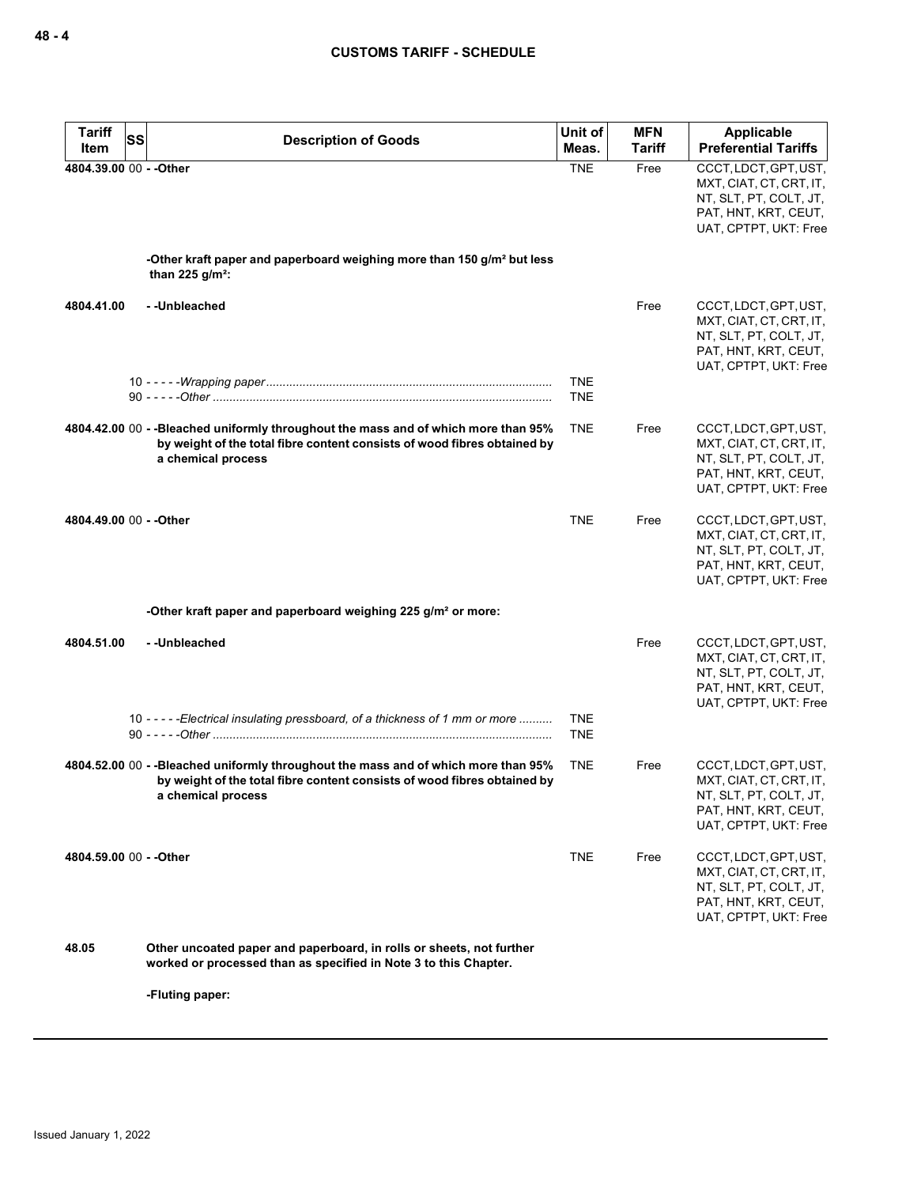| <b>Tariff</b><br>Item   | SS<br><b>Description of Goods</b>                                                                                                                                                    | Unit of<br>Meas.         | <b>MFN</b><br>Tariff | <b>Applicable</b><br><b>Preferential Tariffs</b>                                                                            |
|-------------------------|--------------------------------------------------------------------------------------------------------------------------------------------------------------------------------------|--------------------------|----------------------|-----------------------------------------------------------------------------------------------------------------------------|
| 4804.39.00 00 - - Other |                                                                                                                                                                                      | <b>TNE</b>               | Free                 | CCCT, LDCT, GPT, UST,<br>MXT, CIAT, CT, CRT, IT,<br>NT, SLT, PT, COLT, JT,<br>PAT, HNT, KRT, CEUT,<br>UAT, CPTPT, UKT: Free |
|                         | -Other kraft paper and paperboard weighing more than 150 g/m <sup>2</sup> but less<br>than 225 $q/m^2$ :                                                                             |                          |                      |                                                                                                                             |
| 4804.41.00              | --Unbleached                                                                                                                                                                         |                          | Free                 | CCCT, LDCT, GPT, UST,<br>MXT, CIAT, CT, CRT, IT,<br>NT, SLT, PT, COLT, JT,<br>PAT, HNT, KRT, CEUT,<br>UAT, CPTPT, UKT: Free |
|                         |                                                                                                                                                                                      | <b>TNE</b><br><b>TNE</b> |                      |                                                                                                                             |
|                         | 4804.42.00 00 - -Bleached uniformly throughout the mass and of which more than 95%<br>by weight of the total fibre content consists of wood fibres obtained by<br>a chemical process | <b>TNE</b>               | Free                 | CCCT, LDCT, GPT, UST,<br>MXT, CIAT, CT, CRT, IT,<br>NT, SLT, PT, COLT, JT,<br>PAT, HNT, KRT, CEUT,<br>UAT, CPTPT, UKT: Free |
| 4804.49.00 00 - - Other |                                                                                                                                                                                      | <b>TNE</b>               | Free                 | CCCT, LDCT, GPT, UST,<br>MXT, CIAT, CT, CRT, IT,<br>NT, SLT, PT, COLT, JT,<br>PAT, HNT, KRT, CEUT,<br>UAT, CPTPT, UKT: Free |
|                         | -Other kraft paper and paperboard weighing 225 g/m <sup>2</sup> or more:                                                                                                             |                          |                      |                                                                                                                             |
| 4804.51.00              | --Unbleached                                                                                                                                                                         |                          | Free                 | CCCT, LDCT, GPT, UST,<br>MXT, CIAT, CT, CRT, IT,<br>NT, SLT, PT, COLT, JT,<br>PAT, HNT, KRT, CEUT,<br>UAT, CPTPT, UKT: Free |
|                         | 10 - - - - - Electrical insulating pressboard, of a thickness of 1 mm or more                                                                                                        | <b>TNE</b><br><b>TNE</b> |                      |                                                                                                                             |
|                         | 4804.52.00 00 - -Bleached uniformly throughout the mass and of which more than 95%<br>by weight of the total fibre content consists of wood fibres obtained by<br>a chemical process | <b>TNE</b>               | Free                 | CCCT, LDCT, GPT, UST,<br>MXT, CIAT, CT, CRT, IT,<br>NT, SLT, PT, COLT, JT,<br>PAT, HNT, KRT, CEUT,<br>UAT, CPTPT, UKT: Free |
| 4804.59.00 00 - - Other |                                                                                                                                                                                      | <b>TNE</b>               | Free                 | CCCT, LDCT, GPT, UST,<br>MXT, CIAT, CT, CRT, IT,<br>NT, SLT, PT, COLT, JT,<br>PAT, HNT, KRT, CEUT,<br>UAT, CPTPT, UKT: Free |
| 48.05                   | Other uncoated paper and paperboard, in rolls or sheets, not further<br>worked or processed than as specified in Note 3 to this Chapter.                                             |                          |                      |                                                                                                                             |

**-Fluting paper:**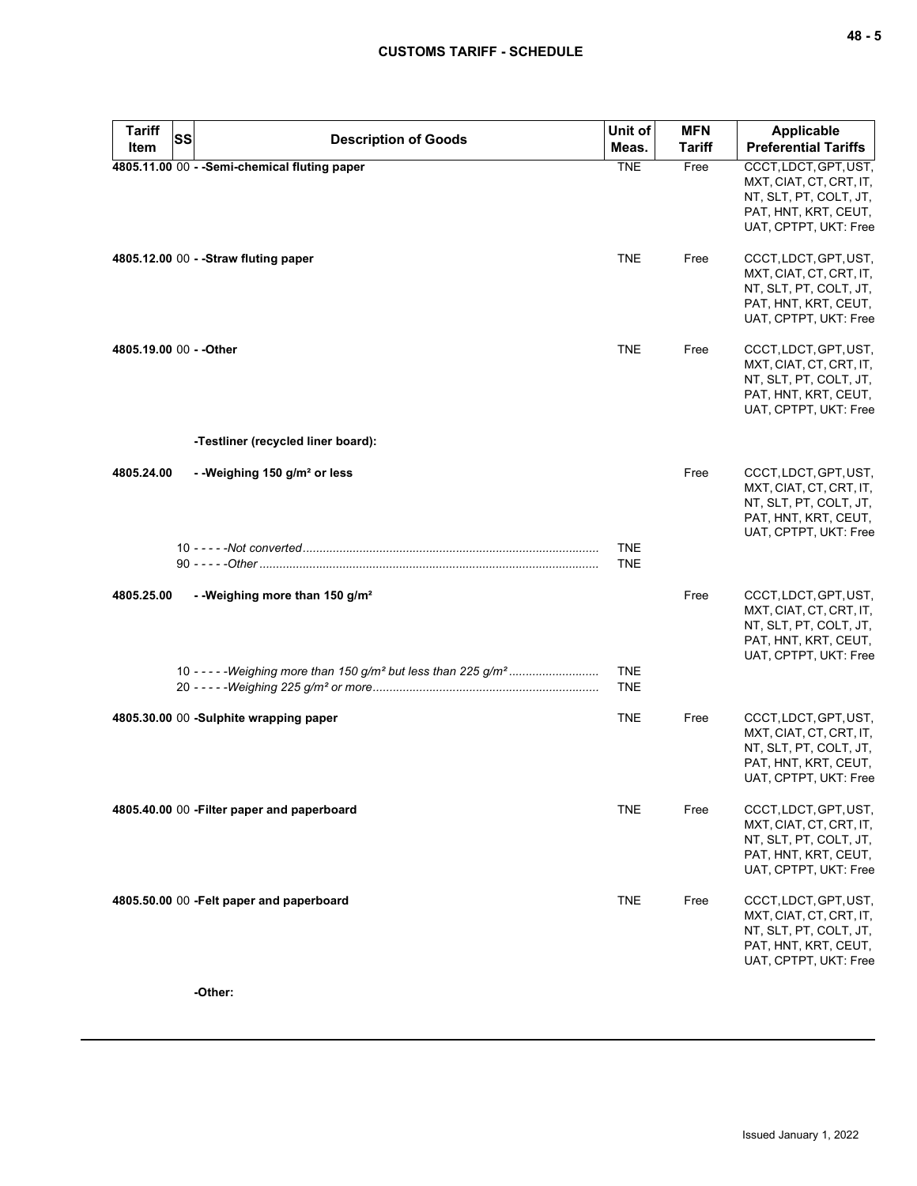| <b>Tariff</b><br>Item   | SS<br><b>Description of Goods</b>             | Unit of<br>Meas.         | <b>MFN</b><br>Tariff | <b>Applicable</b><br><b>Preferential Tariffs</b>                                                                            |
|-------------------------|-----------------------------------------------|--------------------------|----------------------|-----------------------------------------------------------------------------------------------------------------------------|
|                         | 4805.11.00 00 - - Semi-chemical fluting paper | <b>TNE</b>               | Free                 | CCCT, LDCT, GPT, UST,<br>MXT, CIAT, CT, CRT, IT,<br>NT, SLT, PT, COLT, JT,<br>PAT, HNT, KRT, CEUT,<br>UAT, CPTPT, UKT: Free |
|                         | 4805.12.00 00 - - Straw fluting paper         | <b>TNE</b>               | Free                 | CCCT, LDCT, GPT, UST,<br>MXT, CIAT, CT, CRT, IT,<br>NT, SLT, PT, COLT, JT,<br>PAT, HNT, KRT, CEUT,<br>UAT, CPTPT, UKT: Free |
| 4805.19.00 00 - - Other |                                               | <b>TNE</b>               | Free                 | CCCT, LDCT, GPT, UST,<br>MXT, CIAT, CT, CRT, IT,<br>NT, SLT, PT, COLT, JT,<br>PAT, HNT, KRT, CEUT,<br>UAT, CPTPT, UKT: Free |
|                         | -Testliner (recycled liner board):            |                          |                      |                                                                                                                             |
| 4805.24.00              | - -Weighing 150 $g/m^2$ or less               |                          | Free                 | CCCT, LDCT, GPT, UST,<br>MXT, CIAT, CT, CRT, IT,<br>NT, SLT, PT, COLT, JT,<br>PAT, HNT, KRT, CEUT,<br>UAT, CPTPT, UKT: Free |
|                         |                                               | <b>TNE</b><br><b>TNE</b> |                      |                                                                                                                             |
| 4805.25.00              | - - Weighing more than 150 g/m <sup>2</sup>   |                          | Free                 | CCCT, LDCT, GPT, UST,<br>MXT, CIAT, CT, CRT, IT,<br>NT, SLT, PT, COLT, JT,<br>PAT, HNT, KRT, CEUT,<br>UAT, CPTPT, UKT: Free |
|                         |                                               | <b>TNE</b><br><b>TNE</b> |                      |                                                                                                                             |
|                         | 4805.30.00 00 -Sulphite wrapping paper        | <b>TNE</b>               | Free                 | CCCT, LDCT, GPT, UST,<br>MXT, CIAT, CT, CRT, IT,<br>NT, SLT, PT, COLT, JT,<br>PAT, HNT, KRT, CEUT,<br>UAT, CPTPT, UKT: Free |
|                         | 4805.40.00 00 - Filter paper and paperboard   | <b>TNE</b>               | Free                 | CCCT, LDCT, GPT, UST,<br>MXT, CIAT, CT, CRT, IT,<br>NT, SLT, PT, COLT, JT,<br>PAT, HNT, KRT, CEUT,<br>UAT, CPTPT, UKT: Free |
|                         | 4805.50.00 00 - Felt paper and paperboard     | <b>TNE</b>               | Free                 | CCCT, LDCT, GPT, UST,<br>MXT, CIAT, CT, CRT, IT,<br>NT, SLT, PT, COLT, JT,<br>PAT, HNT, KRT, CEUT,<br>UAT, CPTPT, UKT: Free |

**-Other:**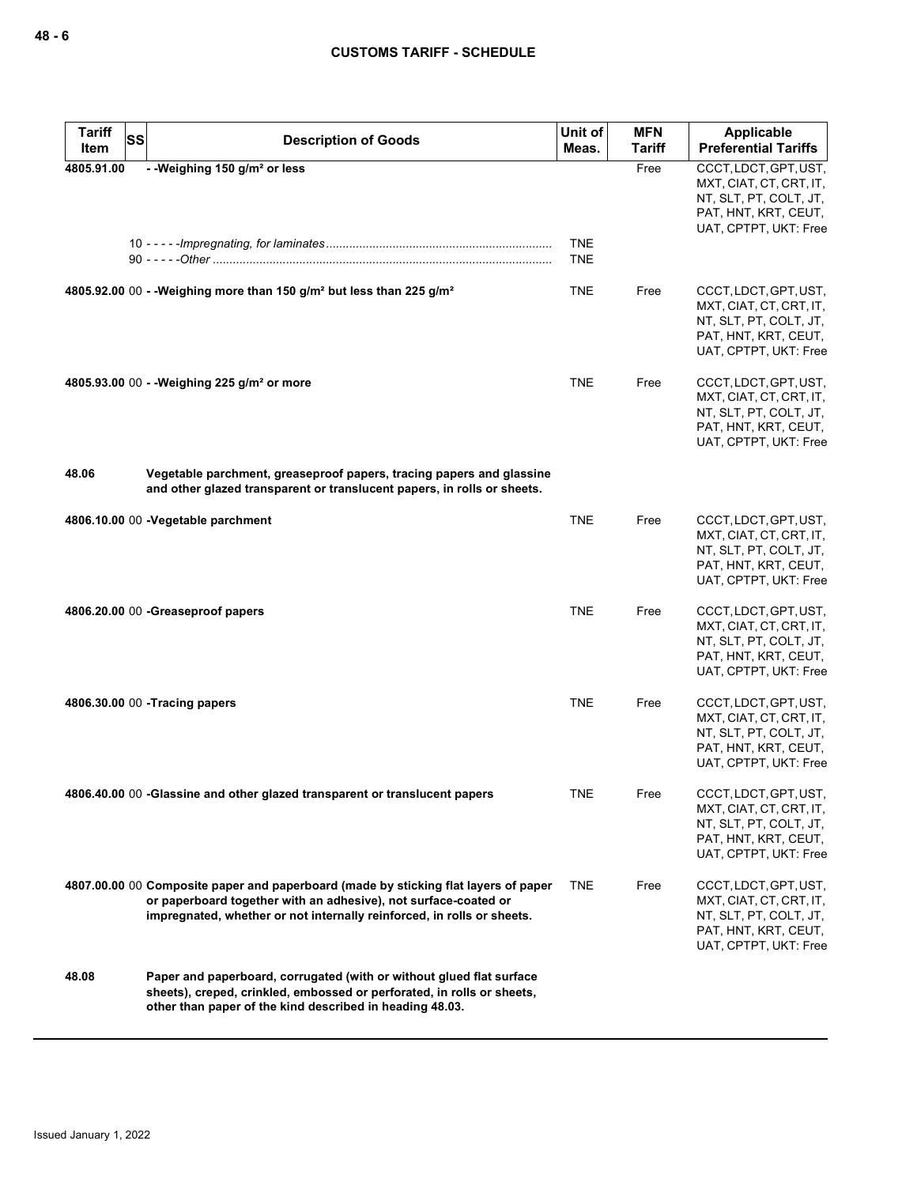| <b>Tariff</b> | <b>SS</b> | <b>Description of Goods</b>                                                                                                                                                                                                      | Unit of                  | <b>MFN</b> | <b>Applicable</b>                                                                                                           |
|---------------|-----------|----------------------------------------------------------------------------------------------------------------------------------------------------------------------------------------------------------------------------------|--------------------------|------------|-----------------------------------------------------------------------------------------------------------------------------|
| Item          |           |                                                                                                                                                                                                                                  | Meas.                    | Tariff     | <b>Preferential Tariffs</b>                                                                                                 |
| 4805.91.00    |           | - - Weighing 150 g/m <sup>2</sup> or less                                                                                                                                                                                        | <b>TNE</b><br><b>TNE</b> | Free       | CCCT, LDCT, GPT, UST,<br>MXT, CIAT, CT, CRT, IT,<br>NT, SLT, PT, COLT, JT,<br>PAT, HNT, KRT, CEUT,<br>UAT, CPTPT, UKT: Free |
|               |           | 4805.92.00 00 - - Weighing more than 150 g/m <sup>2</sup> but less than 225 g/m <sup>2</sup>                                                                                                                                     | TNE                      | Free       | CCCT, LDCT, GPT, UST,<br>MXT, CIAT, CT, CRT, IT,<br>NT, SLT, PT, COLT, JT,<br>PAT, HNT, KRT, CEUT,<br>UAT, CPTPT, UKT: Free |
|               |           | 4805.93.00 00 - - Weighing 225 g/m <sup>2</sup> or more                                                                                                                                                                          | <b>TNE</b>               | Free       | CCCT, LDCT, GPT, UST,<br>MXT, CIAT, CT, CRT, IT,<br>NT, SLT, PT, COLT, JT,<br>PAT, HNT, KRT, CEUT,<br>UAT, CPTPT, UKT: Free |
| 48.06         |           | Vegetable parchment, greaseproof papers, tracing papers and glassine<br>and other glazed transparent or translucent papers, in rolls or sheets.                                                                                  |                          |            |                                                                                                                             |
|               |           | 4806.10.00 00 -Vegetable parchment                                                                                                                                                                                               | <b>TNE</b>               | Free       | CCCT, LDCT, GPT, UST,<br>MXT, CIAT, CT, CRT, IT,<br>NT, SLT, PT, COLT, JT,<br>PAT, HNT, KRT, CEUT,<br>UAT, CPTPT, UKT: Free |
|               |           | 4806.20.00 00 - Greaseproof papers                                                                                                                                                                                               | <b>TNE</b>               | Free       | CCCT, LDCT, GPT, UST,<br>MXT, CIAT, CT, CRT, IT,<br>NT, SLT, PT, COLT, JT,<br>PAT, HNT, KRT, CEUT,<br>UAT, CPTPT, UKT: Free |
|               |           | 4806.30.00 00 - Tracing papers                                                                                                                                                                                                   | <b>TNE</b>               | Free       | CCCT, LDCT, GPT, UST,<br>MXT, CIAT, CT, CRT, IT,<br>NT, SLT, PT, COLT, JT,<br>PAT, HNT, KRT, CEUT,<br>UAT, CPTPT, UKT: Free |
|               |           | 4806.40.00 00 -Glassine and other glazed transparent or translucent papers                                                                                                                                                       | TNE                      | Free       | CCCT, LDCT, GPT, UST,<br>MXT, CIAT, CT, CRT, IT,<br>NT, SLT, PT, COLT, JT,<br>PAT, HNT, KRT, CEUT,<br>UAT, CPTPT, UKT: Free |
|               |           | 4807.00.00 00 Composite paper and paperboard (made by sticking flat layers of paper<br>or paperboard together with an adhesive), not surface-coated or<br>impregnated, whether or not internally reinforced, in rolls or sheets. | TNE.                     | Free       | CCCT, LDCT, GPT, UST,<br>MXT, CIAT, CT, CRT, IT,<br>NT, SLT, PT, COLT, JT,<br>PAT, HNT, KRT, CEUT,<br>UAT, CPTPT, UKT: Free |
| 48.08         |           | Paper and paperboard, corrugated (with or without glued flat surface<br>sheets), creped, crinkled, embossed or perforated, in rolls or sheets,<br>other than paper of the kind described in heading 48.03.                       |                          |            |                                                                                                                             |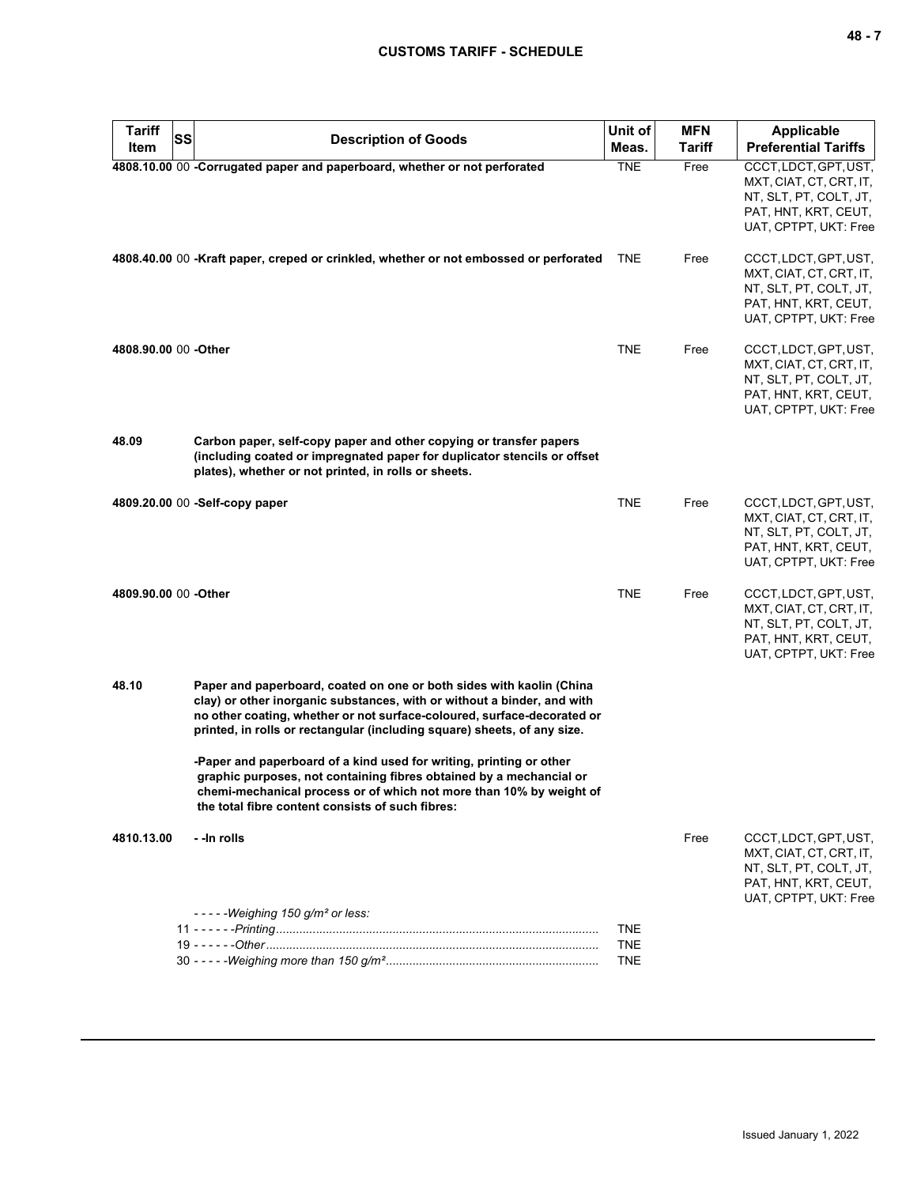| <b>Tariff</b>        | SS                                                                                                                                                                                                                                                                                                     | Unit of    | <b>MFN</b> | <b>Applicable</b>                                                                                                           |
|----------------------|--------------------------------------------------------------------------------------------------------------------------------------------------------------------------------------------------------------------------------------------------------------------------------------------------------|------------|------------|-----------------------------------------------------------------------------------------------------------------------------|
| Item                 | <b>Description of Goods</b>                                                                                                                                                                                                                                                                            | Meas.      | Tariff     | <b>Preferential Tariffs</b>                                                                                                 |
|                      | 4808.10.00 00 -Corrugated paper and paperboard, whether or not perforated                                                                                                                                                                                                                              | <b>TNE</b> | Free       | CCCT, LDCT, GPT, UST,<br>MXT, CIAT, CT, CRT, IT,<br>NT, SLT, PT, COLT, JT,<br>PAT, HNT, KRT, CEUT,<br>UAT, CPTPT, UKT: Free |
|                      | 4808.40.00 00 -Kraft paper, creped or crinkled, whether or not embossed or perforated                                                                                                                                                                                                                  | <b>TNE</b> | Free       | CCCT, LDCT, GPT, UST,<br>MXT, CIAT, CT, CRT, IT,<br>NT, SLT, PT, COLT, JT,<br>PAT, HNT, KRT, CEUT,<br>UAT, CPTPT, UKT: Free |
| 4808.90.00 00 -Other |                                                                                                                                                                                                                                                                                                        | <b>TNE</b> | Free       | CCCT, LDCT, GPT, UST,<br>MXT, CIAT, CT, CRT, IT,<br>NT, SLT, PT, COLT, JT,<br>PAT, HNT, KRT, CEUT,<br>UAT, CPTPT, UKT: Free |
| 48.09                | Carbon paper, self-copy paper and other copying or transfer papers<br>(including coated or impregnated paper for duplicator stencils or offset<br>plates), whether or not printed, in rolls or sheets.                                                                                                 |            |            |                                                                                                                             |
|                      | 4809.20.00 00 -Self-copy paper                                                                                                                                                                                                                                                                         | <b>TNE</b> | Free       | CCCT, LDCT, GPT, UST,<br>MXT, CIAT, CT, CRT, IT,<br>NT, SLT, PT, COLT, JT,<br>PAT, HNT, KRT, CEUT,<br>UAT, CPTPT, UKT: Free |
| 4809.90.00 00 -Other |                                                                                                                                                                                                                                                                                                        | <b>TNE</b> | Free       | CCCT, LDCT, GPT, UST,<br>MXT, CIAT, CT, CRT, IT,<br>NT, SLT, PT, COLT, JT,<br>PAT, HNT, KRT, CEUT,<br>UAT, CPTPT, UKT: Free |
| 48.10                | Paper and paperboard, coated on one or both sides with kaolin (China<br>clay) or other inorganic substances, with or without a binder, and with<br>no other coating, whether or not surface-coloured, surface-decorated or<br>printed, in rolls or rectangular (including square) sheets, of any size. |            |            |                                                                                                                             |
|                      | -Paper and paperboard of a kind used for writing, printing or other<br>graphic purposes, not containing fibres obtained by a mechancial or<br>chemi-mechanical process or of which not more than 10% by weight of<br>the total fibre content consists of such fibres:                                  |            |            |                                                                                                                             |
| 4810.13.00           | - - In rolls<br>$---Weighing 150 g/m2 or less:$                                                                                                                                                                                                                                                        |            | Free       | CCCT, LDCT, GPT, UST,<br>MXT, CIAT, CT, CRT, IT,<br>NT, SLT, PT, COLT, JT,<br>PAT, HNT, KRT, CEUT,<br>UAT, CPTPT, UKT: Free |
|                      |                                                                                                                                                                                                                                                                                                        | <b>TNE</b> |            |                                                                                                                             |
|                      |                                                                                                                                                                                                                                                                                                        | <b>TNE</b> |            |                                                                                                                             |
|                      |                                                                                                                                                                                                                                                                                                        | <b>TNE</b> |            |                                                                                                                             |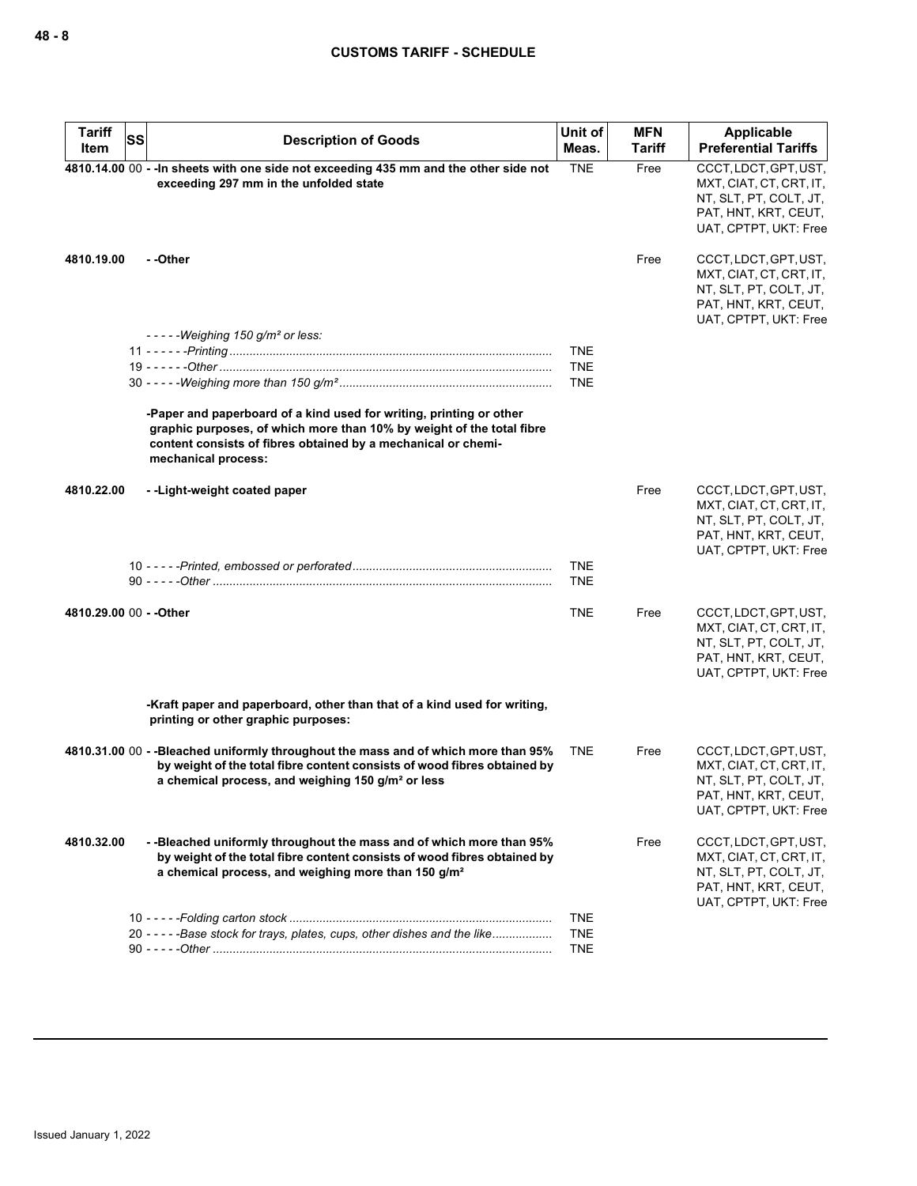| <b>Tariff</b><br>Item   | SS | <b>Description of Goods</b>                                                                                                                                                                                                          | Unit of<br>Meas. | <b>MFN</b><br>Tariff | Applicable<br><b>Preferential Tariffs</b>                                                                                   |
|-------------------------|----|--------------------------------------------------------------------------------------------------------------------------------------------------------------------------------------------------------------------------------------|------------------|----------------------|-----------------------------------------------------------------------------------------------------------------------------|
|                         |    | 4810.14.00 00 - - In sheets with one side not exceeding 435 mm and the other side not<br>exceeding 297 mm in the unfolded state                                                                                                      | <b>TNE</b>       | Free                 | CCCT, LDCT, GPT, UST,<br>MXT, CIAT, CT, CRT, IT,<br>NT, SLT, PT, COLT, JT,<br>PAT, HNT, KRT, CEUT,<br>UAT, CPTPT, UKT: Free |
| 4810.19.00              |    | - -Other                                                                                                                                                                                                                             |                  | Free                 | CCCT, LDCT, GPT, UST,<br>MXT, CIAT, CT, CRT, IT,<br>NT, SLT, PT, COLT, JT,<br>PAT, HNT, KRT, CEUT,<br>UAT, CPTPT, UKT: Free |
|                         |    | $--$ - Weighing 150 g/m <sup>2</sup> or less:                                                                                                                                                                                        |                  |                      |                                                                                                                             |
|                         |    |                                                                                                                                                                                                                                      | <b>TNE</b>       |                      |                                                                                                                             |
|                         |    |                                                                                                                                                                                                                                      | <b>TNE</b>       |                      |                                                                                                                             |
|                         |    |                                                                                                                                                                                                                                      | <b>TNE</b>       |                      |                                                                                                                             |
|                         |    | -Paper and paperboard of a kind used for writing, printing or other<br>graphic purposes, of which more than 10% by weight of the total fibre<br>content consists of fibres obtained by a mechanical or chemi-<br>mechanical process: |                  |                      |                                                                                                                             |
| 4810.22.00              |    | --Light-weight coated paper                                                                                                                                                                                                          |                  | Free                 | CCCT, LDCT, GPT, UST,<br>MXT, CIAT, CT, CRT, IT,<br>NT, SLT, PT, COLT, JT,<br>PAT, HNT, KRT, CEUT,<br>UAT, CPTPT, UKT: Free |
|                         |    |                                                                                                                                                                                                                                      | <b>TNE</b>       |                      |                                                                                                                             |
|                         |    |                                                                                                                                                                                                                                      | <b>TNE</b>       |                      |                                                                                                                             |
|                         |    |                                                                                                                                                                                                                                      |                  |                      |                                                                                                                             |
| 4810.29.00 00 - - Other |    |                                                                                                                                                                                                                                      | <b>TNE</b>       | Free                 | CCCT, LDCT, GPT, UST,<br>MXT, CIAT, CT, CRT, IT,<br>NT, SLT, PT, COLT, JT,<br>PAT, HNT, KRT, CEUT,<br>UAT, CPTPT, UKT: Free |
|                         |    | -Kraft paper and paperboard, other than that of a kind used for writing,<br>printing or other graphic purposes:                                                                                                                      |                  |                      |                                                                                                                             |
|                         |    | 4810.31.00 00 - -Bleached uniformly throughout the mass and of which more than 95%<br>by weight of the total fibre content consists of wood fibres obtained by<br>a chemical process, and weighing 150 g/m <sup>2</sup> or less      | <b>TNE</b>       | Free                 | CCCT, LDCT, GPT, UST,<br>MXT, CIAT, CT, CRT, IT,<br>NT, SLT, PT, COLT, JT,<br>PAT, HNT, KRT, CEUT,<br>UAT, CPTPT, UKT: Free |
| 4810.32.00              |    | --Bleached uniformly throughout the mass and of which more than 95%<br>by weight of the total fibre content consists of wood fibres obtained by<br>a chemical process, and weighing more than 150 g/m <sup>2</sup>                   |                  | Free                 | CCCT, LDCT, GPT, UST,<br>MXT, CIAT, CT, CRT, IT,<br>NT, SLT, PT, COLT, JT,<br>PAT, HNT, KRT, CEUT,<br>UAT, CPTPT, UKT: Free |
|                         |    |                                                                                                                                                                                                                                      | <b>TNE</b>       |                      |                                                                                                                             |
|                         |    | 20 - - - - - Base stock for trays, plates, cups, other dishes and the like                                                                                                                                                           | <b>TNE</b>       |                      |                                                                                                                             |
|                         |    |                                                                                                                                                                                                                                      | <b>TNE</b>       |                      |                                                                                                                             |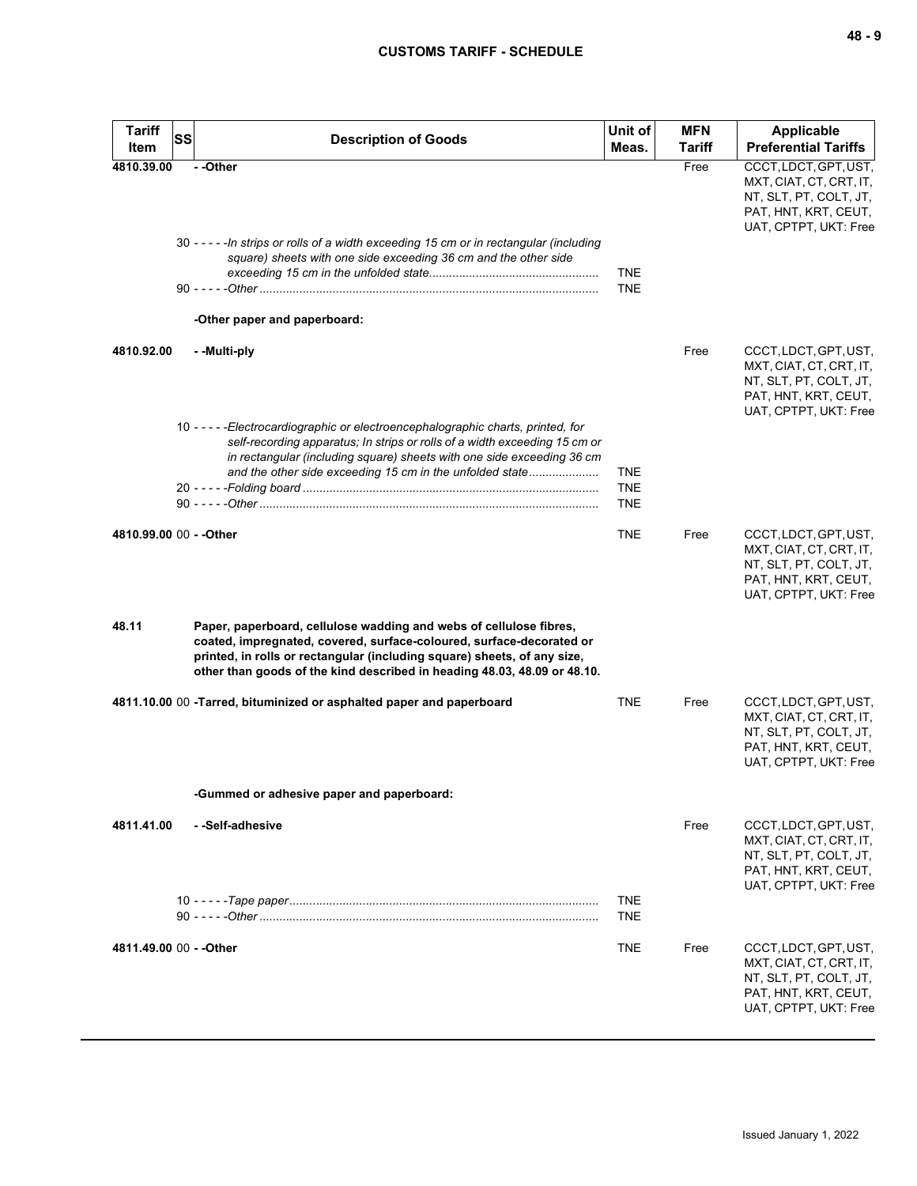| <b>Tariff</b> | <b>SS</b><br><b>Description of Goods</b>                                                                                                                                                                                                                                                           | Unit of                  | <b>MFN</b>    | <b>Applicable</b>                                                                                                           |
|---------------|----------------------------------------------------------------------------------------------------------------------------------------------------------------------------------------------------------------------------------------------------------------------------------------------------|--------------------------|---------------|-----------------------------------------------------------------------------------------------------------------------------|
| <b>Item</b>   |                                                                                                                                                                                                                                                                                                    | Meas.                    | <b>Tariff</b> | <b>Preferential Tariffs</b>                                                                                                 |
| 4810.39.00    | - -Other<br>30 - - - - - In strips or rolls of a width exceeding 15 cm or in rectangular (including<br>square) sheets with one side exceeding 36 cm and the other side<br>-Other paper and paperboard:                                                                                             | <b>TNE</b><br><b>TNE</b> | Free          | CCCT, LDCT, GPT, UST,<br>MXT, CIAT, CT, CRT, IT,<br>NT, SLT, PT, COLT, JT,<br>PAT, HNT, KRT, CEUT,<br>UAT, CPTPT, UKT: Free |
|               |                                                                                                                                                                                                                                                                                                    |                          |               |                                                                                                                             |
| 4810.92.00    | - -Multi-ply<br>10 - - - - - Electrocardiographic or electroencephalographic charts, printed, for                                                                                                                                                                                                  |                          | Free          | CCCT, LDCT, GPT, UST,<br>MXT, CIAT, CT, CRT, IT,<br>NT, SLT, PT, COLT, JT,<br>PAT, HNT, KRT, CEUT,<br>UAT, CPTPT, UKT: Free |
|               | self-recording apparatus; In strips or rolls of a width exceeding 15 cm or<br>in rectangular (including square) sheets with one side exceeding 36 cm<br>and the other side exceeding 15 cm in the unfolded state                                                                                   | <b>TNE</b>               |               |                                                                                                                             |
|               |                                                                                                                                                                                                                                                                                                    | <b>TNE</b><br><b>TNE</b> |               |                                                                                                                             |
|               | 4810.99.00 00 - - Other                                                                                                                                                                                                                                                                            | <b>TNE</b>               | Free          | CCCT, LDCT, GPT, UST,<br>MXT, CIAT, CT, CRT, IT,<br>NT, SLT, PT, COLT, JT,<br>PAT, HNT, KRT, CEUT,<br>UAT, CPTPT, UKT: Free |
| 48.11         | Paper, paperboard, cellulose wadding and webs of cellulose fibres,<br>coated, impregnated, covered, surface-coloured, surface-decorated or<br>printed, in rolls or rectangular (including square) sheets, of any size,<br>other than goods of the kind described in heading 48.03, 48.09 or 48.10. |                          |               |                                                                                                                             |
|               | 4811.10.00 00 -Tarred, bituminized or asphalted paper and paperboard                                                                                                                                                                                                                               | <b>TNE</b>               | Free          | CCCT, LDCT, GPT, UST,<br>MXT, CIAT, CT, CRT, IT,<br>NT, SLT, PT, COLT, JT,<br>PAT, HNT, KRT, CEUT,<br>UAT, CPTPT, UKT: Free |
|               | -Gummed or adhesive paper and paperboard:                                                                                                                                                                                                                                                          |                          |               |                                                                                                                             |
| 4811.41.00    | - -Self-adhesive                                                                                                                                                                                                                                                                                   |                          | Free          | CCCT, LDCT, GPT, UST,<br>MXT, CIAT, CT, CRT, IT,<br>NT, SLT, PT, COLT, JT,<br>PAT, HNT, KRT, CEUT,<br>UAT, CPTPT, UKT: Free |
|               |                                                                                                                                                                                                                                                                                                    | <b>TNE</b>               |               |                                                                                                                             |
|               |                                                                                                                                                                                                                                                                                                    | <b>TNE</b>               |               |                                                                                                                             |
|               | 4811.49.00 00 - - Other                                                                                                                                                                                                                                                                            | <b>TNE</b>               | Free          | CCCT, LDCT, GPT, UST,<br>MXT, CIAT, CT, CRT, IT,<br>NT, SLT, PT, COLT, JT,<br>PAT, HNT, KRT, CEUT,<br>UAT, CPTPT, UKT: Free |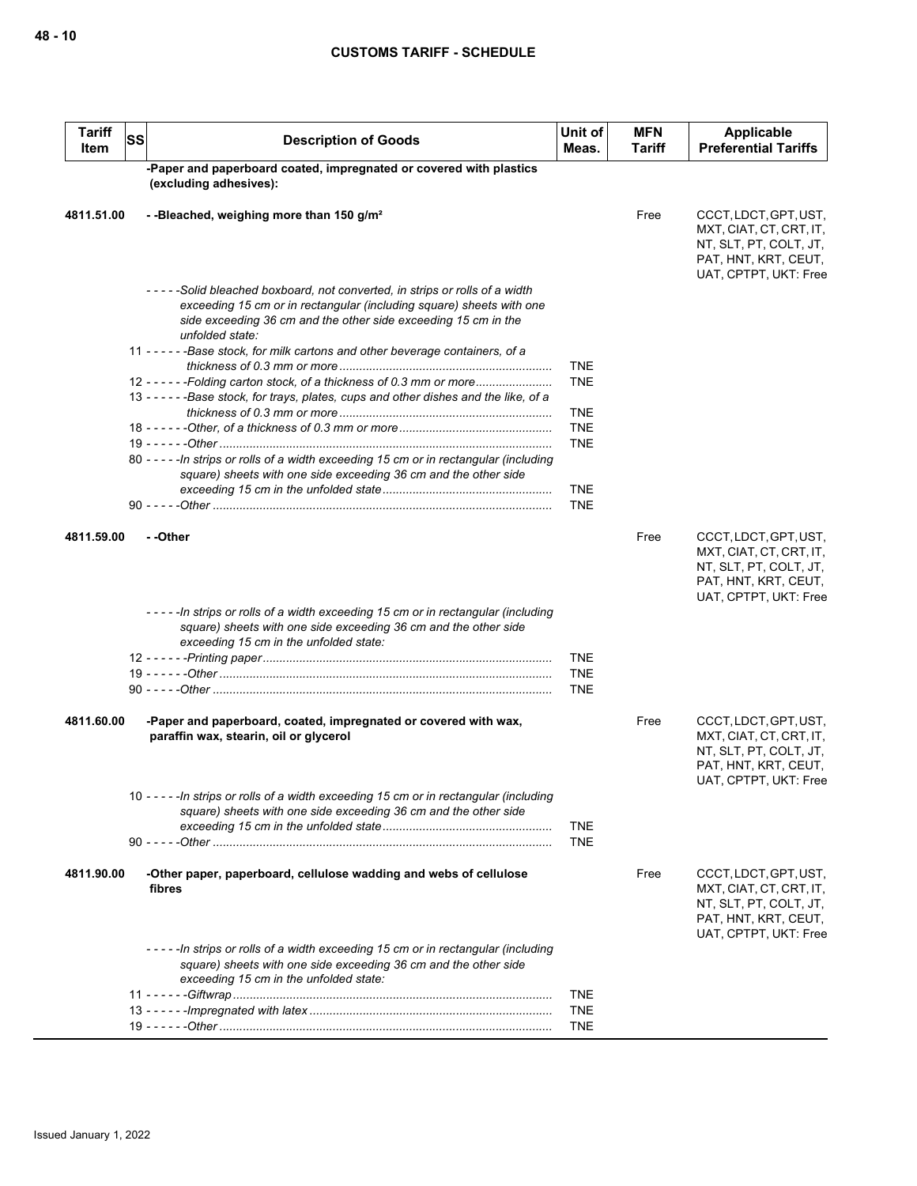| <b>Tariff</b><br>Item | <b>SS</b> | <b>Description of Goods</b>                                                                                                                                                                                                             | Unit of<br>Meas.         | <b>MFN</b><br><b>Tariff</b> | Applicable<br><b>Preferential Tariffs</b>                                                                                   |
|-----------------------|-----------|-----------------------------------------------------------------------------------------------------------------------------------------------------------------------------------------------------------------------------------------|--------------------------|-----------------------------|-----------------------------------------------------------------------------------------------------------------------------|
|                       |           | -Paper and paperboard coated, impregnated or covered with plastics<br>(excluding adhesives):                                                                                                                                            |                          |                             |                                                                                                                             |
| 4811.51.00            |           | --Bleached, weighing more than 150 g/m <sup>2</sup>                                                                                                                                                                                     |                          | Free                        | CCCT, LDCT, GPT, UST,<br>MXT, CIAT, CT, CRT, IT,<br>NT, SLT, PT, COLT, JT,<br>PAT, HNT, KRT, CEUT,<br>UAT, CPTPT, UKT: Free |
|                       |           | -----Solid bleached boxboard, not converted, in strips or rolls of a width<br>exceeding 15 cm or in rectangular (including square) sheets with one<br>side exceeding 36 cm and the other side exceeding 15 cm in the<br>unfolded state: |                          |                             |                                                                                                                             |
|                       |           | 11 - - - - - - Base stock, for milk cartons and other beverage containers, of a                                                                                                                                                         |                          |                             |                                                                                                                             |
|                       |           |                                                                                                                                                                                                                                         | <b>TNE</b>               |                             |                                                                                                                             |
|                       |           | 12 - - - - - - Folding carton stock, of a thickness of 0.3 mm or more                                                                                                                                                                   | <b>TNE</b>               |                             |                                                                                                                             |
|                       |           | 13 - - - - - - Base stock, for trays, plates, cups and other dishes and the like, of a                                                                                                                                                  |                          |                             |                                                                                                                             |
|                       |           |                                                                                                                                                                                                                                         | <b>TNE</b>               |                             |                                                                                                                             |
|                       |           |                                                                                                                                                                                                                                         | <b>TNE</b>               |                             |                                                                                                                             |
|                       |           |                                                                                                                                                                                                                                         | <b>TNE</b>               |                             |                                                                                                                             |
|                       |           | 80 - - - - - In strips or rolls of a width exceeding 15 cm or in rectangular (including<br>square) sheets with one side exceeding 36 cm and the other side                                                                              |                          |                             |                                                                                                                             |
|                       |           |                                                                                                                                                                                                                                         | <b>TNE</b>               |                             |                                                                                                                             |
|                       |           |                                                                                                                                                                                                                                         | <b>TNE</b>               |                             |                                                                                                                             |
| 4811.59.00            |           | - -Other                                                                                                                                                                                                                                |                          | Free                        | CCCT, LDCT, GPT, UST,<br>MXT, CIAT, CT, CRT, IT,<br>NT, SLT, PT, COLT, JT,<br>PAT, HNT, KRT, CEUT,<br>UAT, CPTPT, UKT: Free |
|                       |           | ----In strips or rolls of a width exceeding 15 cm or in rectangular (including<br>square) sheets with one side exceeding 36 cm and the other side<br>exceeding 15 cm in the unfolded state:                                             |                          |                             |                                                                                                                             |
|                       |           |                                                                                                                                                                                                                                         | <b>TNE</b>               |                             |                                                                                                                             |
|                       |           |                                                                                                                                                                                                                                         | <b>TNE</b>               |                             |                                                                                                                             |
|                       |           |                                                                                                                                                                                                                                         | <b>TNE</b>               |                             |                                                                                                                             |
|                       |           |                                                                                                                                                                                                                                         |                          |                             |                                                                                                                             |
| 4811.60.00            |           | -Paper and paperboard, coated, impregnated or covered with wax,<br>paraffin wax, stearin, oil or glycerol                                                                                                                               |                          | Free                        | CCCT, LDCT, GPT, UST,<br>MXT, CIAT, CT, CRT, IT,<br>NT, SLT, PT, COLT, JT,<br>PAT, HNT, KRT, CEUT,<br>UAT, CPTPT, UKT: Free |
|                       |           | 10 - - - - - In strips or rolls of a width exceeding 15 cm or in rectangular (including<br>square) sheets with one side exceeding 36 cm and the other side                                                                              |                          |                             |                                                                                                                             |
|                       |           |                                                                                                                                                                                                                                         | <b>TNE</b><br><b>TNE</b> |                             |                                                                                                                             |
| 4811.90.00            |           | -Other paper, paperboard, cellulose wadding and webs of cellulose<br>fibres                                                                                                                                                             |                          | Free                        | CCCT, LDCT, GPT, UST,<br>MXT, CIAT, CT, CRT, IT,                                                                            |
|                       |           |                                                                                                                                                                                                                                         |                          |                             | NT, SLT, PT, COLT, JT,<br>PAT, HNT, KRT, CEUT,<br>UAT, CPTPT, UKT: Free                                                     |
|                       |           | ----In strips or rolls of a width exceeding 15 cm or in rectangular (including<br>square) sheets with one side exceeding 36 cm and the other side<br>exceeding 15 cm in the unfolded state:                                             |                          |                             |                                                                                                                             |
|                       |           |                                                                                                                                                                                                                                         | <b>TNE</b>               |                             |                                                                                                                             |
|                       |           |                                                                                                                                                                                                                                         | <b>TNE</b>               |                             |                                                                                                                             |
|                       |           |                                                                                                                                                                                                                                         | <b>TNE</b>               |                             |                                                                                                                             |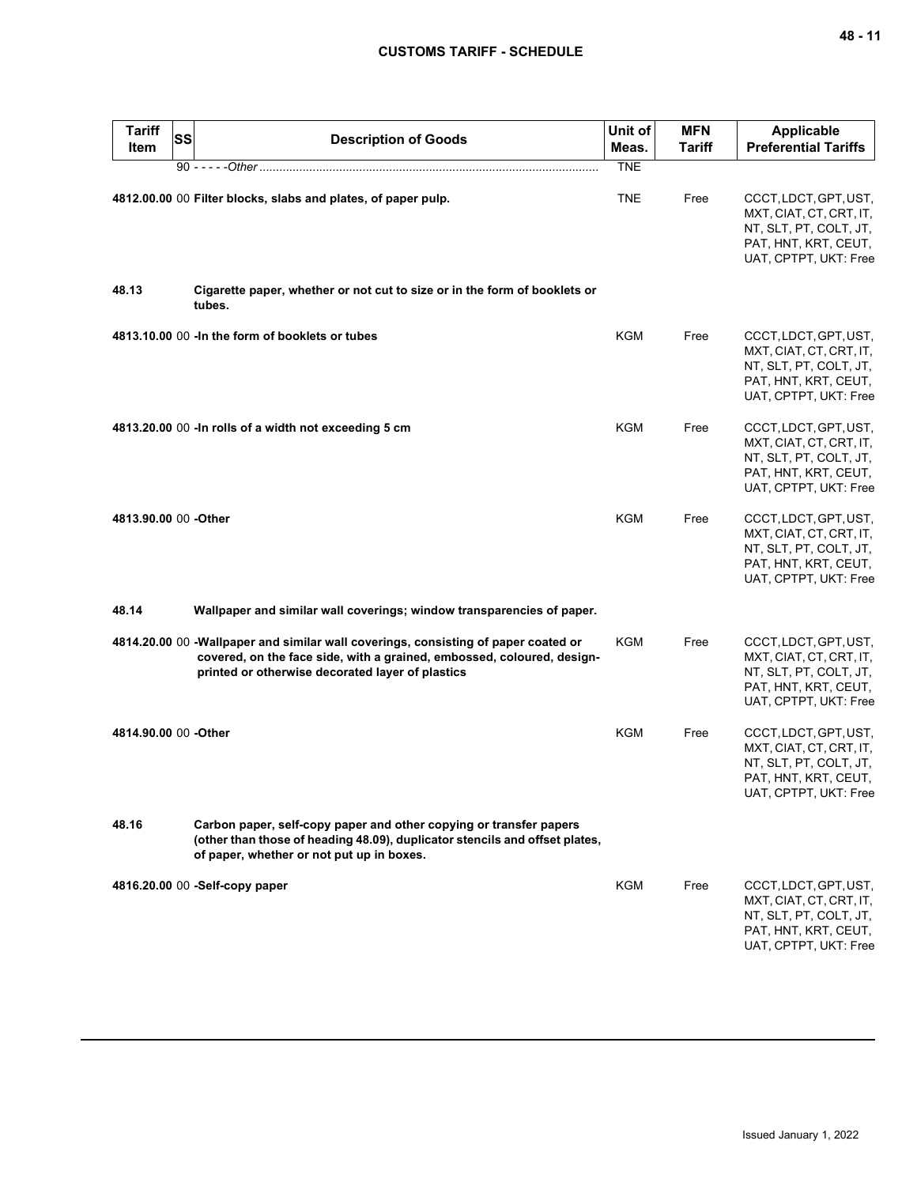| <b>Tariff</b><br>Item | <b>SS</b> | <b>Description of Goods</b>                                                                                                                                                                                       | Unit of<br>Meas. | <b>MFN</b><br>Tariff | <b>Applicable</b><br><b>Preferential Tariffs</b>                                                                            |
|-----------------------|-----------|-------------------------------------------------------------------------------------------------------------------------------------------------------------------------------------------------------------------|------------------|----------------------|-----------------------------------------------------------------------------------------------------------------------------|
|                       |           |                                                                                                                                                                                                                   | <b>TNE</b>       |                      |                                                                                                                             |
|                       |           | 4812.00.00 00 Filter blocks, slabs and plates, of paper pulp.                                                                                                                                                     | <b>TNE</b>       | Free                 | CCCT, LDCT, GPT, UST,<br>MXT, CIAT, CT, CRT, IT,<br>NT, SLT, PT, COLT, JT,<br>PAT, HNT, KRT, CEUT,<br>UAT, CPTPT, UKT: Free |
| 48.13                 |           | Cigarette paper, whether or not cut to size or in the form of booklets or<br>tubes.                                                                                                                               |                  |                      |                                                                                                                             |
|                       |           | 4813.10.00 00 - In the form of booklets or tubes                                                                                                                                                                  | <b>KGM</b>       | Free                 | CCCT, LDCT, GPT, UST,<br>MXT, CIAT, CT, CRT, IT,<br>NT, SLT, PT, COLT, JT,<br>PAT, HNT, KRT, CEUT,<br>UAT, CPTPT, UKT: Free |
|                       |           | 4813.20.00 00 - In rolls of a width not exceeding 5 cm                                                                                                                                                            | <b>KGM</b>       | Free                 | CCCT, LDCT, GPT, UST,<br>MXT, CIAT, CT, CRT, IT,<br>NT, SLT, PT, COLT, JT,<br>PAT, HNT, KRT, CEUT,<br>UAT, CPTPT, UKT: Free |
| 4813.90.00 00 -Other  |           |                                                                                                                                                                                                                   | <b>KGM</b>       | Free                 | CCCT, LDCT, GPT, UST,<br>MXT, CIAT, CT, CRT, IT,<br>NT, SLT, PT, COLT, JT,<br>PAT, HNT, KRT, CEUT,<br>UAT, CPTPT, UKT: Free |
| 48.14                 |           | Wallpaper and similar wall coverings; window transparencies of paper.                                                                                                                                             |                  |                      |                                                                                                                             |
|                       |           | 4814.20.00 00 - Wallpaper and similar wall coverings, consisting of paper coated or<br>covered, on the face side, with a grained, embossed, coloured, design-<br>printed or otherwise decorated layer of plastics | <b>KGM</b>       | Free                 | CCCT, LDCT, GPT, UST,<br>MXT, CIAT, CT, CRT, IT,<br>NT, SLT, PT, COLT, JT,<br>PAT, HNT, KRT, CEUT,<br>UAT, CPTPT, UKT: Free |
| 4814.90.00 00 -Other  |           |                                                                                                                                                                                                                   | KGM              | Free                 | CCCT, LDCT, GPT, UST,<br>MXT, CIAT, CT, CRT, IT,<br>NT, SLT, PT, COLT, JT,<br>PAT, HNT, KRT, CEUT,<br>UAT, CPTPT, UKT: Free |
| 48.16                 |           | Carbon paper, self-copy paper and other copying or transfer papers<br>(other than those of heading 48.09), duplicator stencils and offset plates,<br>of paper, whether or not put up in boxes.                    |                  |                      |                                                                                                                             |
|                       |           | 4816.20.00 00 -Self-copy paper                                                                                                                                                                                    | KGM              | Free                 | CCCT, LDCT, GPT, UST,<br>MXT, CIAT, CT, CRT, IT,<br>NT, SLT, PT, COLT, JT,<br>PAT, HNT, KRT, CEUT,<br>UAT, CPTPT, UKT: Free |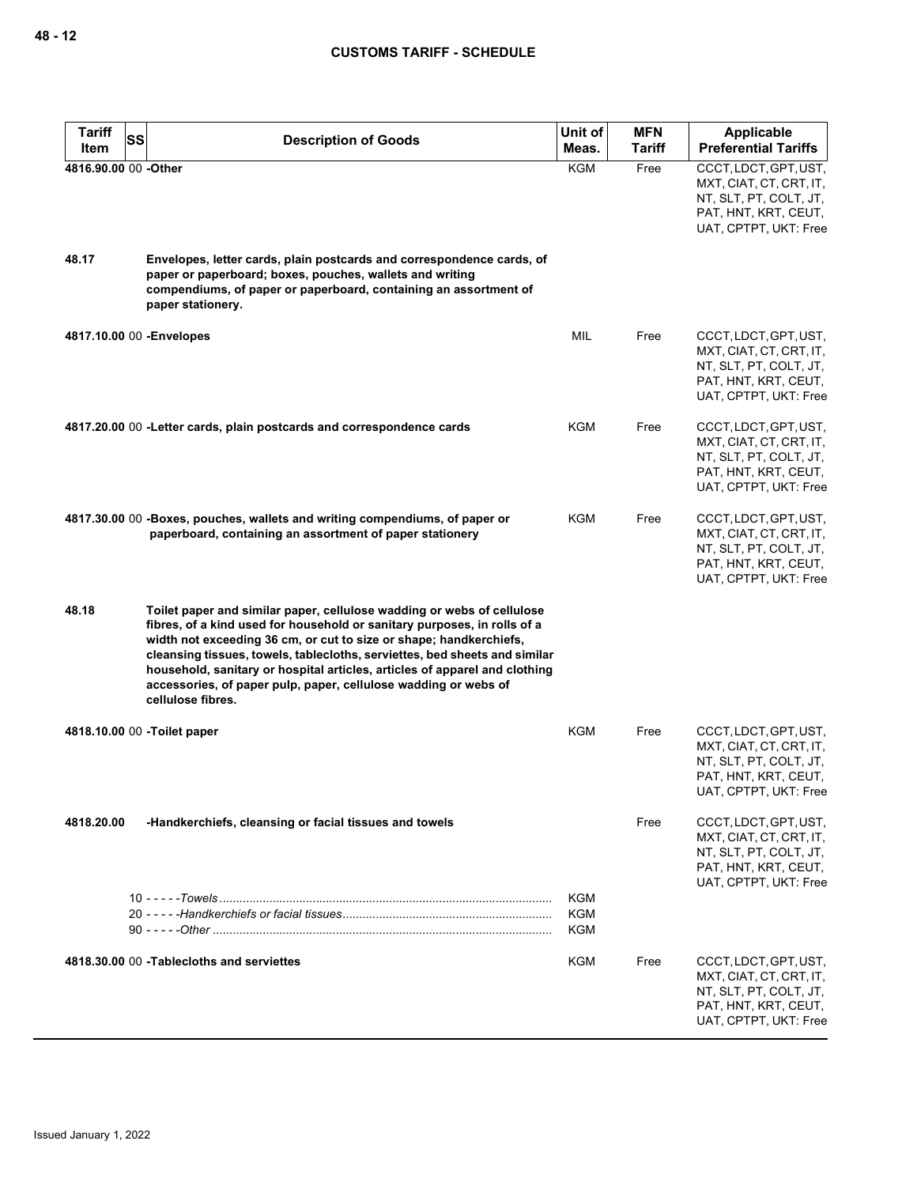| <b>Tariff</b>        | <b>SS</b><br><b>Description of Goods</b>                                                                                                                                                                                                                                                                                                                                                                                                                                     | Unit of                         | <b>MFN</b>    | <b>Applicable</b>                                                                                                           |
|----------------------|------------------------------------------------------------------------------------------------------------------------------------------------------------------------------------------------------------------------------------------------------------------------------------------------------------------------------------------------------------------------------------------------------------------------------------------------------------------------------|---------------------------------|---------------|-----------------------------------------------------------------------------------------------------------------------------|
| Item                 |                                                                                                                                                                                                                                                                                                                                                                                                                                                                              | Meas.                           | <b>Tariff</b> | <b>Preferential Tariffs</b>                                                                                                 |
| 4816.90.00 00 -Other |                                                                                                                                                                                                                                                                                                                                                                                                                                                                              | <b>KGM</b>                      | Free          | CCCT, LDCT, GPT, UST,<br>MXT, CIAT, CT, CRT, IT,<br>NT, SLT, PT, COLT, JT,<br>PAT, HNT, KRT, CEUT,<br>UAT, CPTPT, UKT: Free |
| 48.17                | Envelopes, letter cards, plain postcards and correspondence cards, of<br>paper or paperboard; boxes, pouches, wallets and writing<br>compendiums, of paper or paperboard, containing an assortment of<br>paper stationery.                                                                                                                                                                                                                                                   |                                 |               |                                                                                                                             |
|                      | 4817.10.00 00 - Envelopes                                                                                                                                                                                                                                                                                                                                                                                                                                                    | MIL                             | Free          | CCCT, LDCT, GPT, UST,<br>MXT, CIAT, CT, CRT, IT,<br>NT, SLT, PT, COLT, JT,<br>PAT, HNT, KRT, CEUT,<br>UAT, CPTPT, UKT: Free |
|                      | 4817.20.00 00 - Letter cards, plain postcards and correspondence cards                                                                                                                                                                                                                                                                                                                                                                                                       | KGM                             | Free          | CCCT, LDCT, GPT, UST,<br>MXT, CIAT, CT, CRT, IT,<br>NT, SLT, PT, COLT, JT,<br>PAT, HNT, KRT, CEUT,<br>UAT, CPTPT, UKT: Free |
|                      | 4817.30.00 00 -Boxes, pouches, wallets and writing compendiums, of paper or<br>paperboard, containing an assortment of paper stationery                                                                                                                                                                                                                                                                                                                                      | KGM                             | Free          | CCCT, LDCT, GPT, UST,<br>MXT, CIAT, CT, CRT, IT,<br>NT, SLT, PT, COLT, JT,<br>PAT, HNT, KRT, CEUT,<br>UAT, CPTPT, UKT: Free |
| 48.18                | Toilet paper and similar paper, cellulose wadding or webs of cellulose<br>fibres, of a kind used for household or sanitary purposes, in rolls of a<br>width not exceeding 36 cm, or cut to size or shape; handkerchiefs,<br>cleansing tissues, towels, tablecloths, serviettes, bed sheets and similar<br>household, sanitary or hospital articles, articles of apparel and clothing<br>accessories, of paper pulp, paper, cellulose wadding or webs of<br>cellulose fibres. |                                 |               |                                                                                                                             |
|                      | 4818.10.00 00 -Toilet paper                                                                                                                                                                                                                                                                                                                                                                                                                                                  | KGM                             | Free          | CCCT, LDCT, GPT, UST,<br>MXT, CIAT, CT, CRT, IT,<br>NT, SLT, PT, COLT, JT,<br>PAT, HNT, KRT, CEUT,<br>UAT, CPTPT, UKT: Free |
| 4818.20.00           | -Handkerchiefs, cleansing or facial tissues and towels                                                                                                                                                                                                                                                                                                                                                                                                                       |                                 | Free          | CCCT, LDCT, GPT, UST,<br>MXT, CIAT, CT, CRT, IT,<br>NT, SLT, PT, COLT, JT,<br>PAT, HNT, KRT, CEUT,<br>UAT, CPTPT, UKT: Free |
|                      |                                                                                                                                                                                                                                                                                                                                                                                                                                                                              | <b>KGM</b><br>KGM<br><b>KGM</b> |               |                                                                                                                             |
|                      | 4818.30.00 00 - Tablecloths and serviettes                                                                                                                                                                                                                                                                                                                                                                                                                                   | <b>KGM</b>                      | Free          | CCCT, LDCT, GPT, UST,<br>MXT, CIAT, CT, CRT, IT,<br>NT, SLT, PT, COLT, JT,<br>PAT, HNT, KRT, CEUT,<br>UAT, CPTPT, UKT: Free |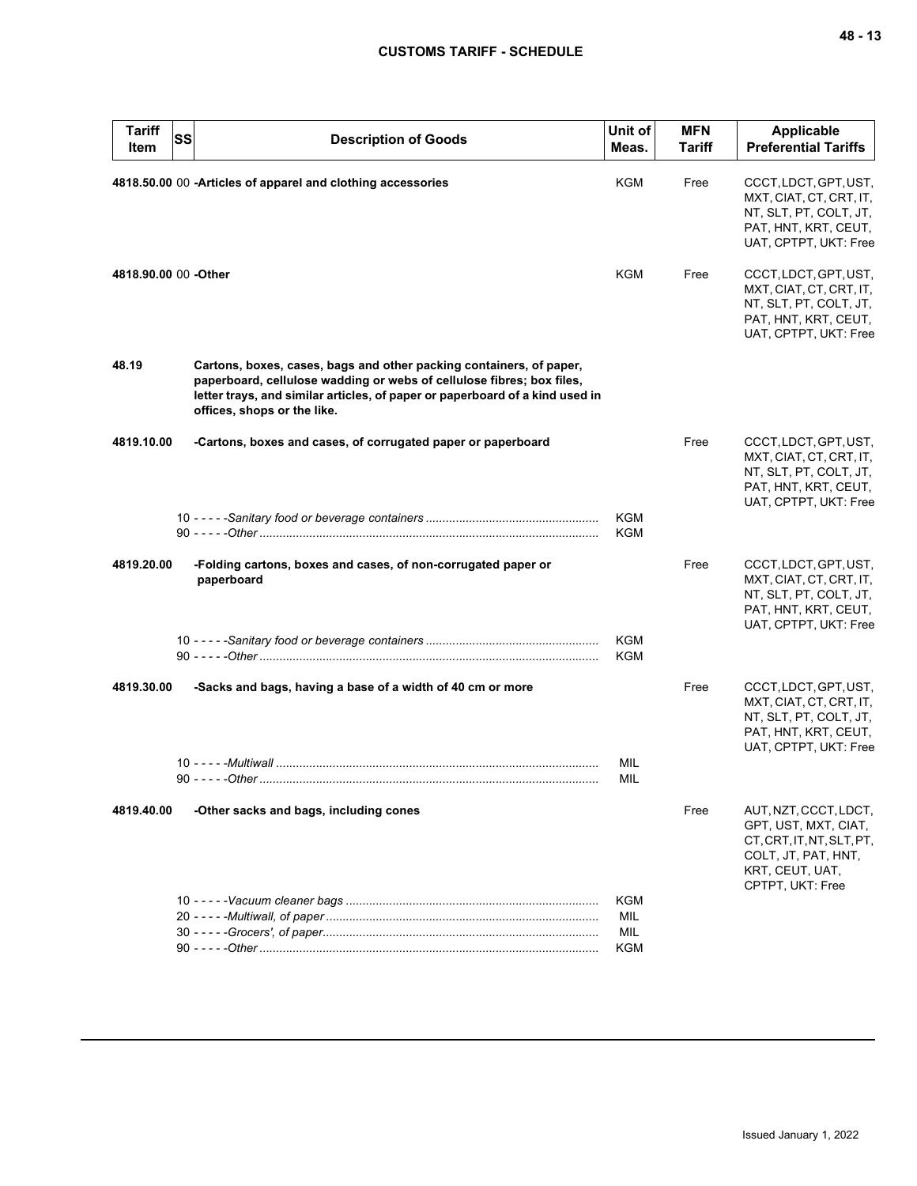| <b>Tariff</b><br>SS<br>Item | <b>Description of Goods</b>                                                                                                                                                                                                                                 | Unit of<br>Meas.  | <b>MFN</b><br>Tariff | <b>Applicable</b><br><b>Preferential Tariffs</b>                                                                                         |
|-----------------------------|-------------------------------------------------------------------------------------------------------------------------------------------------------------------------------------------------------------------------------------------------------------|-------------------|----------------------|------------------------------------------------------------------------------------------------------------------------------------------|
|                             | 4818.50.00 00 - Articles of apparel and clothing accessories                                                                                                                                                                                                | KGM               | Free                 | CCCT, LDCT, GPT, UST,<br>MXT, CIAT, CT, CRT, IT,<br>NT, SLT, PT, COLT, JT,<br>PAT, HNT, KRT, CEUT,<br>UAT, CPTPT, UKT: Free              |
| 4818.90.00 00 - Other       |                                                                                                                                                                                                                                                             | KGM               | Free                 | CCCT, LDCT, GPT, UST,<br>MXT, CIAT, CT, CRT, IT,<br>NT, SLT, PT, COLT, JT,<br>PAT, HNT, KRT, CEUT,<br>UAT, CPTPT, UKT: Free              |
| 48.19                       | Cartons, boxes, cases, bags and other packing containers, of paper,<br>paperboard, cellulose wadding or webs of cellulose fibres; box files,<br>letter trays, and similar articles, of paper or paperboard of a kind used in<br>offices, shops or the like. |                   |                      |                                                                                                                                          |
| 4819.10.00                  | -Cartons, boxes and cases, of corrugated paper or paperboard                                                                                                                                                                                                |                   | Free                 | CCCT, LDCT, GPT, UST,<br>MXT, CIAT, CT, CRT, IT,<br>NT, SLT, PT, COLT, JT,<br>PAT, HNT, KRT, CEUT,<br>UAT, CPTPT, UKT: Free              |
|                             |                                                                                                                                                                                                                                                             | KGM<br>KGM        |                      |                                                                                                                                          |
| 4819.20.00                  | -Folding cartons, boxes and cases, of non-corrugated paper or<br>paperboard                                                                                                                                                                                 |                   | Free                 | CCCT, LDCT, GPT, UST,<br>MXT, CIAT, CT, CRT, IT,<br>NT, SLT, PT, COLT, JT,<br>PAT, HNT, KRT, CEUT,<br>UAT, CPTPT, UKT: Free              |
|                             |                                                                                                                                                                                                                                                             | KGM<br><b>KGM</b> |                      |                                                                                                                                          |
| 4819.30.00                  | -Sacks and bags, having a base of a width of 40 cm or more                                                                                                                                                                                                  | MIL               | Free                 | CCCT, LDCT, GPT, UST,<br>MXT, CIAT, CT, CRT, IT,<br>NT, SLT, PT, COLT, JT,<br>PAT, HNT, KRT, CEUT,<br>UAT, CPTPT, UKT: Free              |
|                             |                                                                                                                                                                                                                                                             | MIL               |                      |                                                                                                                                          |
| 4819.40.00                  | -Other sacks and bags, including cones                                                                                                                                                                                                                      |                   | Free                 | AUT, NZT, CCCT, LDCT,<br>GPT, UST, MXT, CIAT,<br>CT, CRT, IT, NT, SLT, PT,<br>COLT, JT, PAT, HNT,<br>KRT, CEUT, UAT,<br>CPTPT, UKT: Free |
|                             |                                                                                                                                                                                                                                                             | KGM               |                      |                                                                                                                                          |
|                             |                                                                                                                                                                                                                                                             | MIL               |                      |                                                                                                                                          |
|                             |                                                                                                                                                                                                                                                             | MIL<br>KGM        |                      |                                                                                                                                          |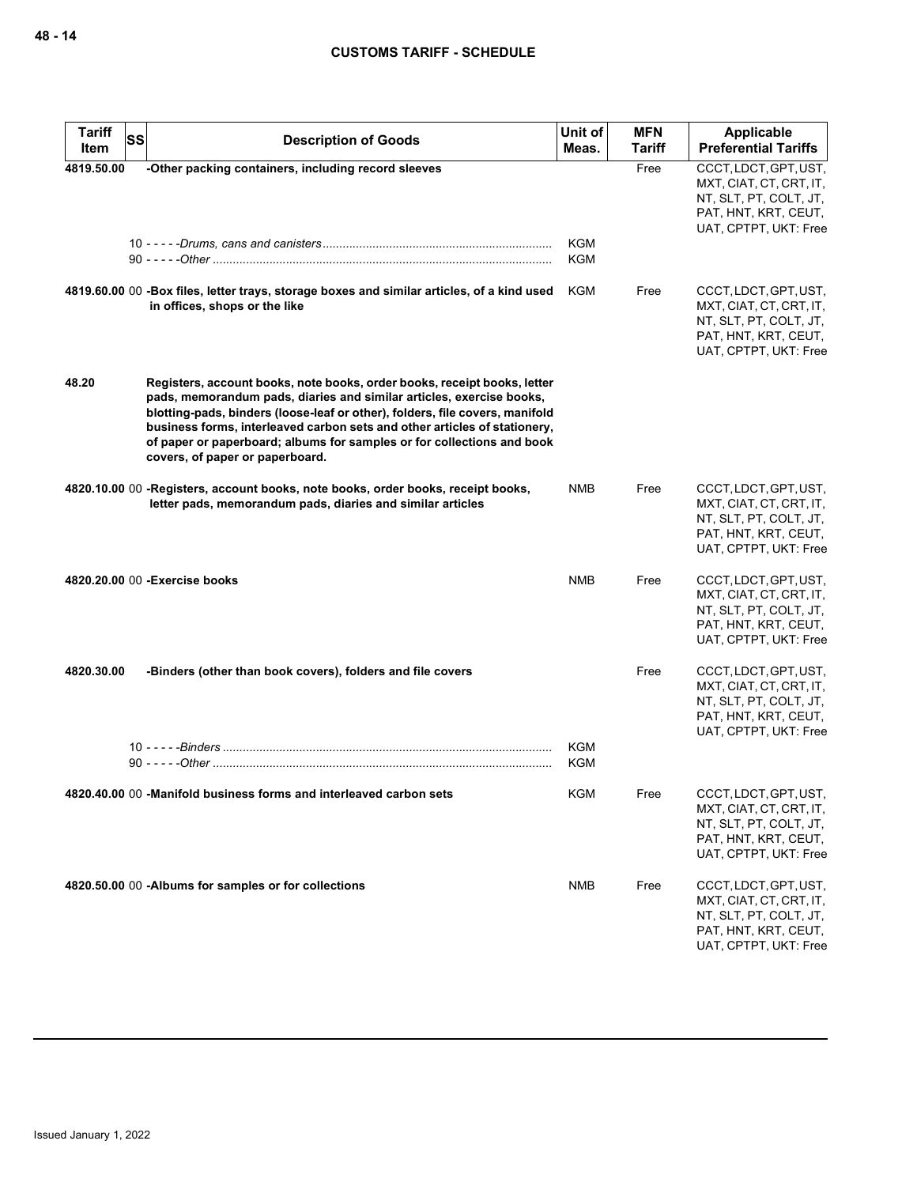| <b>Tariff</b><br><b>SS</b> | <b>Description of Goods</b>                                                                                                                                                                                                                                                                                                                                                                                                | Unit of                  | <b>MFN</b>    | Applicable                                                                                                                  |
|----------------------------|----------------------------------------------------------------------------------------------------------------------------------------------------------------------------------------------------------------------------------------------------------------------------------------------------------------------------------------------------------------------------------------------------------------------------|--------------------------|---------------|-----------------------------------------------------------------------------------------------------------------------------|
| Item                       |                                                                                                                                                                                                                                                                                                                                                                                                                            | Meas.                    | <b>Tariff</b> | <b>Preferential Tariffs</b>                                                                                                 |
| 4819.50.00                 | -Other packing containers, including record sleeves                                                                                                                                                                                                                                                                                                                                                                        |                          | Free          | CCCT, LDCT, GPT, UST,<br>MXT, CIAT, CT, CRT, IT,<br>NT, SLT, PT, COLT, JT,<br>PAT, HNT, KRT, CEUT,<br>UAT, CPTPT, UKT: Free |
|                            |                                                                                                                                                                                                                                                                                                                                                                                                                            | <b>KGM</b><br><b>KGM</b> |               |                                                                                                                             |
|                            | 4819.60.00 00 -Box files, letter trays, storage boxes and similar articles, of a kind used<br>in offices, shops or the like                                                                                                                                                                                                                                                                                                | <b>KGM</b>               | Free          | CCCT, LDCT, GPT, UST,<br>MXT, CIAT, CT, CRT, IT,<br>NT, SLT, PT, COLT, JT,<br>PAT, HNT, KRT, CEUT,<br>UAT, CPTPT, UKT: Free |
| 48.20                      | Registers, account books, note books, order books, receipt books, letter<br>pads, memorandum pads, diaries and similar articles, exercise books,<br>blotting-pads, binders (loose-leaf or other), folders, file covers, manifold<br>business forms, interleaved carbon sets and other articles of stationery,<br>of paper or paperboard; albums for samples or for collections and book<br>covers, of paper or paperboard. |                          |               |                                                                                                                             |
|                            | 4820.10.00 00 -Registers, account books, note books, order books, receipt books,<br>letter pads, memorandum pads, diaries and similar articles                                                                                                                                                                                                                                                                             | <b>NMB</b>               | Free          | CCCT, LDCT, GPT, UST,<br>MXT, CIAT, CT, CRT, IT,<br>NT, SLT, PT, COLT, JT,<br>PAT, HNT, KRT, CEUT,<br>UAT, CPTPT, UKT: Free |
|                            | 4820.20.00 00 - Exercise books                                                                                                                                                                                                                                                                                                                                                                                             | <b>NMB</b>               | Free          | CCCT, LDCT, GPT, UST,<br>MXT, CIAT, CT, CRT, IT,<br>NT, SLT, PT, COLT, JT,<br>PAT, HNT, KRT, CEUT,<br>UAT, CPTPT, UKT: Free |
| 4820.30.00                 | -Binders (other than book covers), folders and file covers                                                                                                                                                                                                                                                                                                                                                                 |                          | Free          | CCCT, LDCT, GPT, UST,<br>MXT, CIAT, CT, CRT, IT,<br>NT, SLT, PT, COLT, JT,<br>PAT, HNT, KRT, CEUT,<br>UAT, CPTPT, UKT: Free |
|                            |                                                                                                                                                                                                                                                                                                                                                                                                                            | <b>KGM</b><br><b>KGM</b> |               |                                                                                                                             |
|                            | 4820.40.00 00 -Manifold business forms and interleaved carbon sets                                                                                                                                                                                                                                                                                                                                                         | <b>KGM</b>               | Free          | CCCT, LDCT, GPT, UST,<br>MXT, CIAT, CT, CRT, IT,<br>NT, SLT, PT, COLT, JT,<br>PAT, HNT, KRT, CEUT,<br>UAT, CPTPT, UKT: Free |
|                            | 4820.50.00 00 -Albums for samples or for collections                                                                                                                                                                                                                                                                                                                                                                       | <b>NMB</b>               | Free          | CCCT, LDCT, GPT, UST,<br>MXT, CIAT, CT, CRT, IT,<br>NT, SLT, PT, COLT, JT,<br>PAT, HNT, KRT, CEUT,<br>UAT, CPTPT, UKT: Free |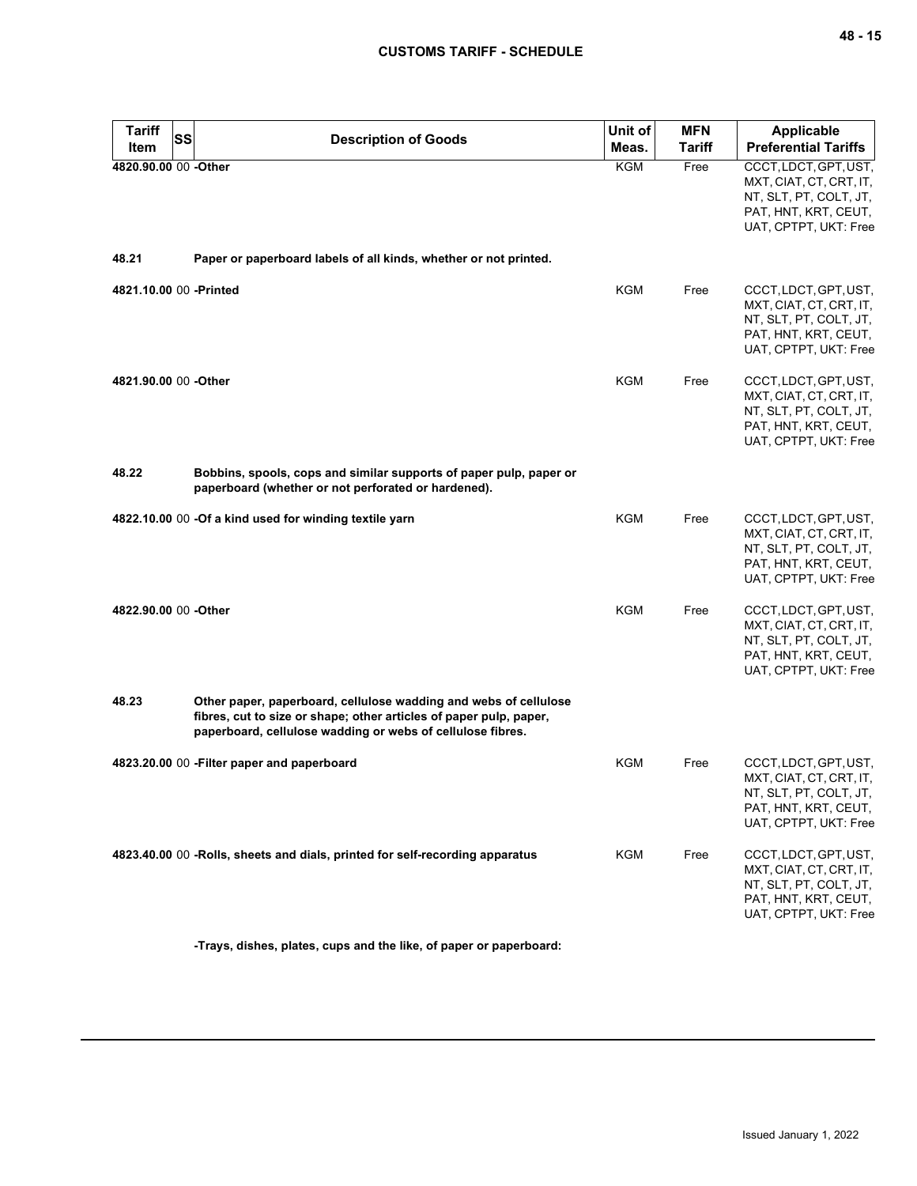| <b>Tariff</b><br>SS<br>Item | <b>Description of Goods</b>                                                                                                                                                                          | Unit of<br>Meas. | <b>MFN</b><br>Tariff | Applicable<br><b>Preferential Tariffs</b>                                                                                   |
|-----------------------------|------------------------------------------------------------------------------------------------------------------------------------------------------------------------------------------------------|------------------|----------------------|-----------------------------------------------------------------------------------------------------------------------------|
| 4820.90.00 00 -Other        |                                                                                                                                                                                                      | KGM              | Free                 | CCCT, LDCT, GPT, UST,<br>MXT, CIAT, CT, CRT, IT,<br>NT, SLT, PT, COLT, JT,<br>PAT, HNT, KRT, CEUT,<br>UAT, CPTPT, UKT: Free |
| 48.21                       | Paper or paperboard labels of all kinds, whether or not printed.                                                                                                                                     |                  |                      |                                                                                                                             |
| 4821.10.00 00 -Printed      |                                                                                                                                                                                                      | KGM              | Free                 | CCCT, LDCT, GPT, UST,<br>MXT, CIAT, CT, CRT, IT,<br>NT, SLT, PT, COLT, JT,<br>PAT, HNT, KRT, CEUT,<br>UAT, CPTPT, UKT: Free |
| 4821.90.00 00 -Other        |                                                                                                                                                                                                      | <b>KGM</b>       | Free                 | CCCT, LDCT, GPT, UST,<br>MXT, CIAT, CT, CRT, IT,<br>NT, SLT, PT, COLT, JT,<br>PAT, HNT, KRT, CEUT,<br>UAT, CPTPT, UKT: Free |
| 48.22                       | Bobbins, spools, cops and similar supports of paper pulp, paper or<br>paperboard (whether or not perforated or hardened).                                                                            |                  |                      |                                                                                                                             |
|                             | 4822.10.00 00 -Of a kind used for winding textile yarn                                                                                                                                               | <b>KGM</b>       | Free                 | CCCT, LDCT, GPT, UST,<br>MXT, CIAT, CT, CRT, IT,<br>NT, SLT, PT, COLT, JT,<br>PAT, HNT, KRT, CEUT,<br>UAT, CPTPT, UKT: Free |
| 4822.90.00 00 -Other        |                                                                                                                                                                                                      | <b>KGM</b>       | Free                 | CCCT, LDCT, GPT, UST,<br>MXT, CIAT, CT, CRT, IT,<br>NT, SLT, PT, COLT, JT,<br>PAT, HNT, KRT, CEUT,<br>UAT, CPTPT, UKT: Free |
| 48.23                       | Other paper, paperboard, cellulose wadding and webs of cellulose<br>fibres, cut to size or shape; other articles of paper pulp, paper,<br>paperboard, cellulose wadding or webs of cellulose fibres. |                  |                      |                                                                                                                             |
|                             | 4823.20.00 00 - Filter paper and paperboard                                                                                                                                                          | <b>KGM</b>       | Free                 | CCCT, LDCT, GPT, UST,<br>MXT, CIAT, CT, CRT, IT,<br>NT, SLT, PT, COLT, JT,<br>PAT, HNT, KRT, CEUT,<br>UAT, CPTPT, UKT: Free |
|                             | 4823.40.00 00 -Rolls, sheets and dials, printed for self-recording apparatus                                                                                                                         | KGM              | Free                 | CCCT, LDCT, GPT, UST,<br>MXT, CIAT, CT, CRT, IT,<br>NT, SLT, PT, COLT, JT,<br>PAT, HNT, KRT, CEUT,<br>UAT, CPTPT, UKT: Free |

**-Trays, dishes, plates, cups and the like, of paper or paperboard:**